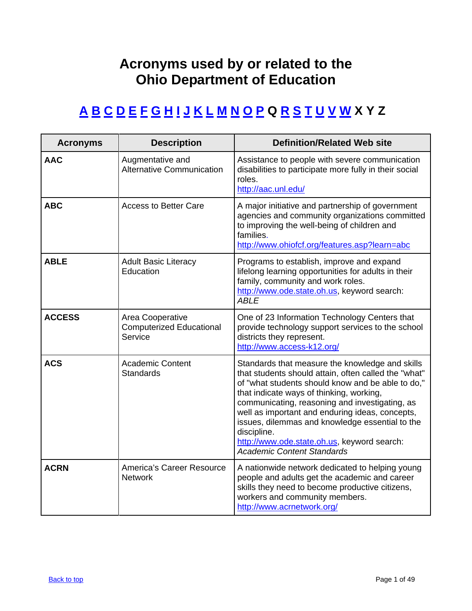## **Acronyms used by or related to the Ohio Department of Education**

## <span id="page-0-0"></span>**A [B](#page-3-0) [C](#page-4-0) [D](#page-10-0) [E](#page-11-0) [F](#page-14-0) [G](#page-16-0) [H](#page-17-0) [I](#page-18-0) [J](#page-20-0) [K](#page-21-0) [L](#page-21-0) [M](#page-22-0) [N](#page-23-0) [O](#page-25-0) [P Q](#page-37-0) [R](#page-39-0) [S](#page-39-0) [T](#page-44-0) [U](#page-47-0) [V](#page-47-0) [W](#page-48-0) X Y Z**

| <b>Acronyms</b> | <b>Description</b>                                             | <b>Definition/Related Web site</b>                                                                                                                                                                                                                                                                                                                                                                                                                                  |
|-----------------|----------------------------------------------------------------|---------------------------------------------------------------------------------------------------------------------------------------------------------------------------------------------------------------------------------------------------------------------------------------------------------------------------------------------------------------------------------------------------------------------------------------------------------------------|
| <b>AAC</b>      | Augmentative and<br><b>Alternative Communication</b>           | Assistance to people with severe communication<br>disabilities to participate more fully in their social<br>roles.<br>http://aac.unl.edu/                                                                                                                                                                                                                                                                                                                           |
| <b>ABC</b>      | <b>Access to Better Care</b>                                   | A major initiative and partnership of government<br>agencies and community organizations committed<br>to improving the well-being of children and<br>families.<br>http://www.ohiofcf.org/features.asp?learn=abc                                                                                                                                                                                                                                                     |
| <b>ABLE</b>     | <b>Adult Basic Literacy</b><br>Education                       | Programs to establish, improve and expand<br>lifelong learning opportunities for adults in their<br>family, community and work roles.<br>http://www.ode.state.oh.us, keyword search:<br><b>ABLE</b>                                                                                                                                                                                                                                                                 |
| <b>ACCESS</b>   | Area Cooperative<br><b>Computerized Educational</b><br>Service | One of 23 Information Technology Centers that<br>provide technology support services to the school<br>districts they represent.<br>http://www.access-k12.org/                                                                                                                                                                                                                                                                                                       |
| <b>ACS</b>      | <b>Academic Content</b><br><b>Standards</b>                    | Standards that measure the knowledge and skills<br>that students should attain, often called the "what"<br>of "what students should know and be able to do,"<br>that indicate ways of thinking, working,<br>communicating, reasoning and investigating, as<br>well as important and enduring ideas, concepts,<br>issues, dilemmas and knowledge essential to the<br>discipline.<br>http://www.ode.state.oh.us, keyword search:<br><b>Academic Content Standards</b> |
| <b>ACRN</b>     | America's Career Resource<br><b>Network</b>                    | A nationwide network dedicated to helping young<br>people and adults get the academic and career<br>skills they need to become productive citizens,<br>workers and community members.<br>http://www.acrnetwork.org/                                                                                                                                                                                                                                                 |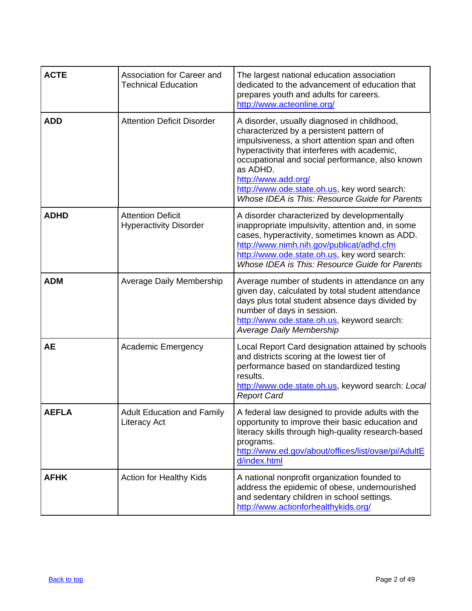| <b>ACTE</b>  | Association for Career and<br><b>Technical Education</b>  | The largest national education association<br>dedicated to the advancement of education that<br>prepares youth and adults for careers.<br>http://www.acteonline.org/                                                                                                                                                                                                               |
|--------------|-----------------------------------------------------------|------------------------------------------------------------------------------------------------------------------------------------------------------------------------------------------------------------------------------------------------------------------------------------------------------------------------------------------------------------------------------------|
| <b>ADD</b>   | <b>Attention Deficit Disorder</b>                         | A disorder, usually diagnosed in childhood,<br>characterized by a persistent pattern of<br>impulsiveness, a short attention span and often<br>hyperactivity that interferes with academic,<br>occupational and social performance, also known<br>as ADHD.<br>http://www.add.org/<br>http://www.ode.state.oh.us, key word search:<br>Whose IDEA is This: Resource Guide for Parents |
| <b>ADHD</b>  | <b>Attention Deficit</b><br><b>Hyperactivity Disorder</b> | A disorder characterized by developmentally<br>inappropriate impulsivity, attention and, in some<br>cases, hyperactivity, sometimes known as ADD.<br>http://www.nimh.nih.gov/publicat/adhd.cfm<br>http://www.ode.state.oh.us, key word search:<br>Whose IDEA is This: Resource Guide for Parents                                                                                   |
| <b>ADM</b>   | <b>Average Daily Membership</b>                           | Average number of students in attendance on any<br>given day, calculated by total student attendance<br>days plus total student absence days divided by<br>number of days in session.<br>http://www.ode.state.oh.us, keyword search:<br><b>Average Daily Membership</b>                                                                                                            |
| <b>AE</b>    | <b>Academic Emergency</b>                                 | Local Report Card designation attained by schools<br>and districts scoring at the lowest tier of<br>performance based on standardized testing<br>results.<br>http://www.ode.state.oh.us, keyword search: Local<br><b>Report Card</b>                                                                                                                                               |
| <b>AEFLA</b> | <b>Adult Education and Family</b><br>Literacy Act         | A federal law designed to provide adults with the<br>opportunity to improve their basic education and<br>literacy skills through high-quality research-based<br>programs.<br>http://www.ed.gov/about/offices/list/ovae/pi/AdultE<br>d/index.html                                                                                                                                   |
| <b>AFHK</b>  | <b>Action for Healthy Kids</b>                            | A national nonprofit organization founded to<br>address the epidemic of obese, undernourished<br>and sedentary children in school settings.<br>http://www.actionforhealthykids.org/                                                                                                                                                                                                |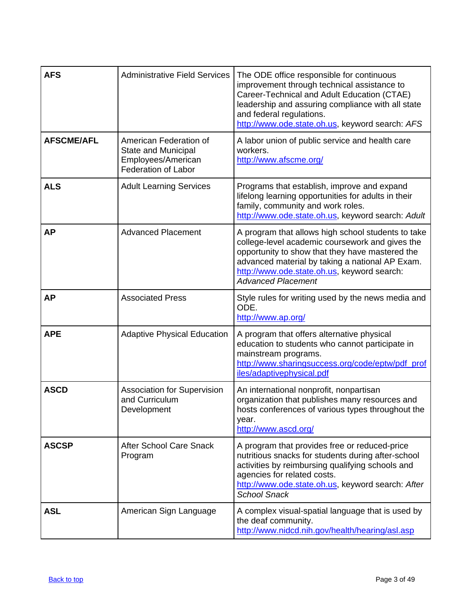| <b>AFS</b>        | <b>Administrative Field Services</b>                                                                     | The ODE office responsible for continuous<br>improvement through technical assistance to<br>Career-Technical and Adult Education (CTAE)<br>leadership and assuring compliance with all state<br>and federal regulations.<br>http://www.ode.state.oh.us, keyword search: AFS             |
|-------------------|----------------------------------------------------------------------------------------------------------|-----------------------------------------------------------------------------------------------------------------------------------------------------------------------------------------------------------------------------------------------------------------------------------------|
| <b>AFSCME/AFL</b> | American Federation of<br><b>State and Municipal</b><br>Employees/American<br><b>Federation of Labor</b> | A labor union of public service and health care<br>workers.<br>http://www.afscme.org/                                                                                                                                                                                                   |
| <b>ALS</b>        | <b>Adult Learning Services</b>                                                                           | Programs that establish, improve and expand<br>lifelong learning opportunities for adults in their<br>family, community and work roles.<br>http://www.ode.state.oh.us, keyword search: Adult                                                                                            |
| <b>AP</b>         | <b>Advanced Placement</b>                                                                                | A program that allows high school students to take<br>college-level academic coursework and gives the<br>opportunity to show that they have mastered the<br>advanced material by taking a national AP Exam.<br>http://www.ode.state.oh.us, keyword search:<br><b>Advanced Placement</b> |
| <b>AP</b>         | <b>Associated Press</b>                                                                                  | Style rules for writing used by the news media and<br>ODE.<br>http://www.ap.org/                                                                                                                                                                                                        |
| <b>APE</b>        | <b>Adaptive Physical Education</b>                                                                       | A program that offers alternative physical<br>education to students who cannot participate in<br>mainstream programs.<br>http://www.sharingsuccess.org/code/eptw/pdf_prof<br>iles/adaptivephysical.pdf                                                                                  |
| <b>ASCD</b>       | <b>Association for Supervision</b><br>and Curriculum<br>Development                                      | An international nonprofit, nonpartisan<br>organization that publishes many resources and<br>hosts conferences of various types throughout the<br>year.<br>http://www.ascd.org/                                                                                                         |
| <b>ASCSP</b>      | <b>After School Care Snack</b><br>Program                                                                | A program that provides free or reduced-price<br>nutritious snacks for students during after-school<br>activities by reimbursing qualifying schools and<br>agencies for related costs.<br>http://www.ode.state.oh.us, keyword search: After<br><b>School Snack</b>                      |
| <b>ASL</b>        | American Sign Language                                                                                   | A complex visual-spatial language that is used by<br>the deaf community.<br>http://www.nidcd.nih.gov/health/hearing/asl.asp                                                                                                                                                             |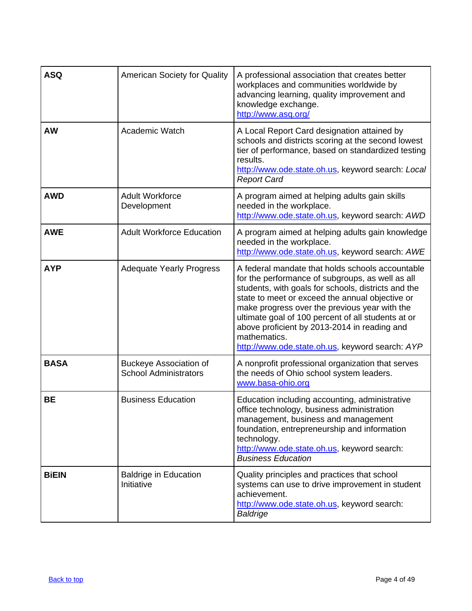<span id="page-3-0"></span>

| <b>ASQ</b>   | <b>American Society for Quality</b>                           | A professional association that creates better<br>workplaces and communities worldwide by<br>advancing learning, quality improvement and<br>knowledge exchange.<br>http://www.asq.org/                                                                                                                                                                                                                                                   |
|--------------|---------------------------------------------------------------|------------------------------------------------------------------------------------------------------------------------------------------------------------------------------------------------------------------------------------------------------------------------------------------------------------------------------------------------------------------------------------------------------------------------------------------|
| <b>AW</b>    | <b>Academic Watch</b>                                         | A Local Report Card designation attained by<br>schools and districts scoring at the second lowest<br>tier of performance, based on standardized testing<br>results.<br>http://www.ode.state.oh.us, keyword search: Local<br><b>Report Card</b>                                                                                                                                                                                           |
| <b>AWD</b>   | <b>Adult Workforce</b><br>Development                         | A program aimed at helping adults gain skills<br>needed in the workplace.<br>http://www.ode.state.oh.us, keyword search: AWD                                                                                                                                                                                                                                                                                                             |
| <b>AWE</b>   | <b>Adult Workforce Education</b>                              | A program aimed at helping adults gain knowledge<br>needed in the workplace.<br>http://www.ode.state.oh.us, keyword search: AWE                                                                                                                                                                                                                                                                                                          |
| <b>AYP</b>   | <b>Adequate Yearly Progress</b>                               | A federal mandate that holds schools accountable<br>for the performance of subgroups, as well as all<br>students, with goals for schools, districts and the<br>state to meet or exceed the annual objective or<br>make progress over the previous year with the<br>ultimate goal of 100 percent of all students at or<br>above proficient by 2013-2014 in reading and<br>mathematics.<br>http://www.ode.state.oh.us, keyword search: AYP |
| <b>BASA</b>  | <b>Buckeye Association of</b><br><b>School Administrators</b> | A nonprofit professional organization that serves<br>the needs of Ohio school system leaders.<br>www.basa-ohio.org                                                                                                                                                                                                                                                                                                                       |
| BЕ           | <b>Business Education</b>                                     | Education including accounting, administrative<br>office technology, business administration<br>management, business and management<br>foundation, entrepreneurship and information<br>technology.<br>http://www.ode.state.oh.us, keyword search:<br><b>Business Education</b>                                                                                                                                                           |
| <b>BiEIN</b> | <b>Baldrige in Education</b><br>Initiative                    | Quality principles and practices that school<br>systems can use to drive improvement in student<br>achievement.<br>http://www.ode.state.oh.us, keyword search:<br>Baldrige                                                                                                                                                                                                                                                               |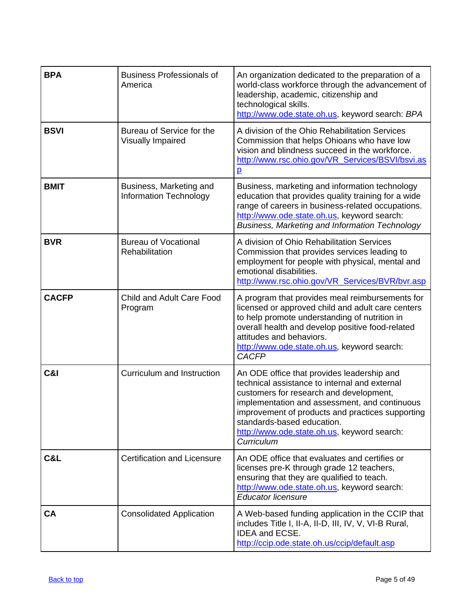<span id="page-4-0"></span>

| <b>BPA</b>     | <b>Business Professionals of</b><br>America       | An organization dedicated to the preparation of a<br>world-class workforce through the advancement of<br>leadership, academic, citizenship and<br>technological skills.<br>http://www.ode.state.oh.us, keyword search: BPA                                                                                                             |
|----------------|---------------------------------------------------|----------------------------------------------------------------------------------------------------------------------------------------------------------------------------------------------------------------------------------------------------------------------------------------------------------------------------------------|
| <b>BSVI</b>    | Bureau of Service for the<br>Visually Impaired    | A division of the Ohio Rehabilitation Services<br>Commission that helps Ohioans who have low<br>vision and blindness succeed in the workforce.<br>http://www.rsc.ohio.gov/VR_Services/BSVI/bsvi.as<br>$\overline{p}$                                                                                                                   |
| <b>BMIT</b>    | Business, Marketing and<br>Information Technology | Business, marketing and information technology<br>education that provides quality training for a wide<br>range of careers in business-related occupations.<br>http://www.ode.state.oh.us, keyword search:<br>Business, Marketing and Information Technology                                                                            |
| <b>BVR</b>     | <b>Bureau of Vocational</b><br>Rehabilitation     | A division of Ohio Rehabilitation Services<br>Commission that provides services leading to<br>employment for people with physical, mental and<br>emotional disabilities.<br>http://www.rsc.ohio.gov/VR_Services/BVR/bvr.asp                                                                                                            |
| <b>CACFP</b>   | Child and Adult Care Food<br>Program              | A program that provides meal reimbursements for<br>licensed or approved child and adult care centers<br>to help promote understanding of nutrition in<br>overall health and develop positive food-related<br>attitudes and behaviors.<br>http://www.ode.state.oh.us, keyword search:<br><b>CACFP</b>                                   |
| <b>C&amp;I</b> | Curriculum and Instruction                        | An ODE office that provides leadership and<br>technical assistance to internal and external<br>customers for research and development,<br>implementation and assessment, and continuous<br>improvement of products and practices supporting<br>standards-based education.<br>http://www.ode.state.oh.us, keyword search:<br>Curriculum |
| C&L            | <b>Certification and Licensure</b>                | An ODE office that evaluates and certifies or<br>licenses pre-K through grade 12 teachers,<br>ensuring that they are qualified to teach.<br>http://www.ode.state.oh.us, keyword search:<br><b>Educator licensure</b>                                                                                                                   |
| <b>CA</b>      | <b>Consolidated Application</b>                   | A Web-based funding application in the CCIP that<br>includes Title I, II-A, II-D, III, IV, V, VI-B Rural,<br><b>IDEA and ECSE.</b><br>http://ccip.ode.state.oh.us/ccip/default.asp                                                                                                                                                     |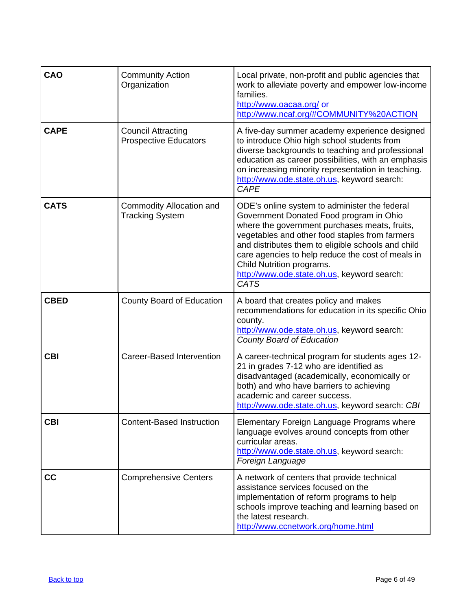| CAO         | <b>Community Action</b><br>Organization                   | Local private, non-profit and public agencies that<br>work to alleviate poverty and empower low-income<br>families.<br>http://www.oacaa.org/ or<br>http://www.ncaf.org/#COMMUNITY%20ACTION                                                                                                                                                                                                        |
|-------------|-----------------------------------------------------------|---------------------------------------------------------------------------------------------------------------------------------------------------------------------------------------------------------------------------------------------------------------------------------------------------------------------------------------------------------------------------------------------------|
| <b>CAPE</b> | <b>Council Attracting</b><br><b>Prospective Educators</b> | A five-day summer academy experience designed<br>to introduce Ohio high school students from<br>diverse backgrounds to teaching and professional<br>education as career possibilities, with an emphasis<br>on increasing minority representation in teaching.<br>http://www.ode.state.oh.us, keyword search:<br><b>CAPE</b>                                                                       |
| <b>CATS</b> | Commodity Allocation and<br><b>Tracking System</b>        | ODE's online system to administer the federal<br>Government Donated Food program in Ohio<br>where the government purchases meats, fruits,<br>vegetables and other food staples from farmers<br>and distributes them to eligible schools and child<br>care agencies to help reduce the cost of meals in<br>Child Nutrition programs.<br>http://www.ode.state.oh.us, keyword search:<br><b>CATS</b> |
| <b>CBED</b> | County Board of Education                                 | A board that creates policy and makes<br>recommendations for education in its specific Ohio<br>county.<br>http://www.ode.state.oh.us, keyword search:<br><b>County Board of Education</b>                                                                                                                                                                                                         |
| <b>CBI</b>  | Career-Based Intervention                                 | A career-technical program for students ages 12-<br>21 in grades 7-12 who are identified as<br>disadvantaged (academically, economically or<br>both) and who have barriers to achieving<br>academic and career success.<br>http://www.ode.state.oh.us, keyword search: CBI                                                                                                                        |
| <b>CBI</b>  | <b>Content-Based Instruction</b>                          | Elementary Foreign Language Programs where<br>language evolves around concepts from other<br>curricular areas.<br>http://www.ode.state.oh.us, keyword search:<br>Foreign Language                                                                                                                                                                                                                 |
| cc          | <b>Comprehensive Centers</b>                              | A network of centers that provide technical<br>assistance services focused on the<br>implementation of reform programs to help<br>schools improve teaching and learning based on<br>the latest research.<br>http://www.ccnetwork.org/home.html                                                                                                                                                    |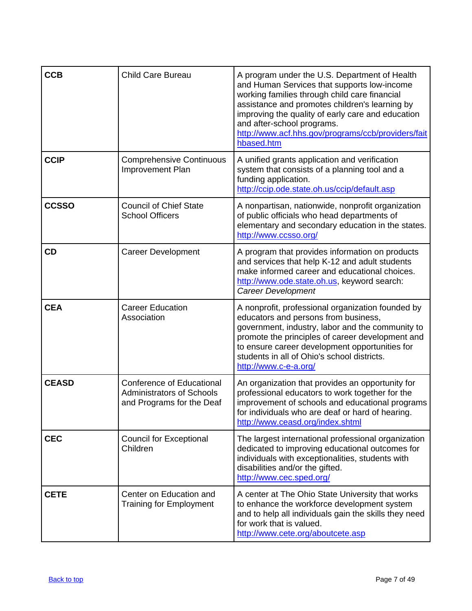| <b>CCB</b>   | <b>Child Care Bureau</b>                                                                          | A program under the U.S. Department of Health<br>and Human Services that supports low-income<br>working families through child care financial<br>assistance and promotes children's learning by<br>improving the quality of early care and education<br>and after-school programs.<br>http://www.acf.hhs.gov/programs/ccb/providers/fait<br>hbased.htm |
|--------------|---------------------------------------------------------------------------------------------------|--------------------------------------------------------------------------------------------------------------------------------------------------------------------------------------------------------------------------------------------------------------------------------------------------------------------------------------------------------|
| <b>CCIP</b>  | <b>Comprehensive Continuous</b><br>Improvement Plan                                               | A unified grants application and verification<br>system that consists of a planning tool and a<br>funding application.<br>http://ccip.ode.state.oh.us/ccip/default.asp                                                                                                                                                                                 |
| <b>CCSSO</b> | <b>Council of Chief State</b><br><b>School Officers</b>                                           | A nonpartisan, nationwide, nonprofit organization<br>of public officials who head departments of<br>elementary and secondary education in the states.<br>http://www.ccsso.org/                                                                                                                                                                         |
| <b>CD</b>    | <b>Career Development</b>                                                                         | A program that provides information on products<br>and services that help K-12 and adult students<br>make informed career and educational choices.<br>http://www.ode.state.oh.us, keyword search:<br><b>Career Development</b>                                                                                                                         |
| <b>CEA</b>   | <b>Career Education</b><br>Association                                                            | A nonprofit, professional organization founded by<br>educators and persons from business,<br>government, industry, labor and the community to<br>promote the principles of career development and<br>to ensure career development opportunities for<br>students in all of Ohio's school districts.<br>http://www.c-e-a.org/                            |
| <b>CEASD</b> | <b>Conference of Educational</b><br><b>Administrators of Schools</b><br>and Programs for the Deaf | An organization that provides an opportunity for<br>professional educators to work together for the<br>improvement of schools and educational programs<br>for individuals who are deaf or hard of hearing.<br>http://www.ceasd.org/index.shtml                                                                                                         |
| <b>CEC</b>   | <b>Council for Exceptional</b><br>Children                                                        | The largest international professional organization<br>dedicated to improving educational outcomes for<br>individuals with exceptionalities, students with<br>disabilities and/or the gifted.<br>http://www.cec.sped.org/                                                                                                                              |
| <b>CETE</b>  | Center on Education and<br><b>Training for Employment</b>                                         | A center at The Ohio State University that works<br>to enhance the workforce development system<br>and to help all individuals gain the skills they need<br>for work that is valued.<br>http://www.cete.org/aboutcete.asp                                                                                                                              |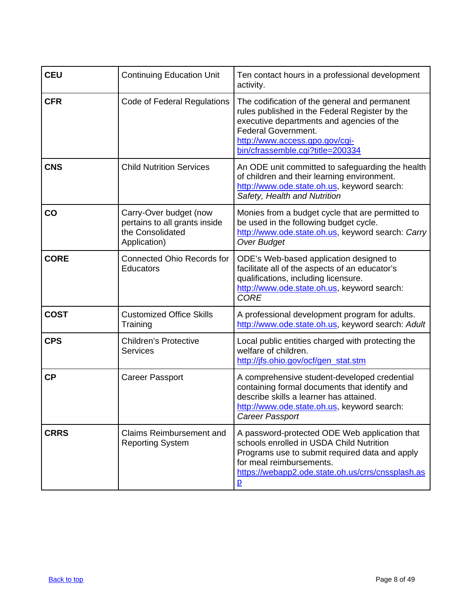| <b>CEU</b>    | <b>Continuing Education Unit</b>                                                            | Ten contact hours in a professional development<br>activity.                                                                                                                                                                                     |
|---------------|---------------------------------------------------------------------------------------------|--------------------------------------------------------------------------------------------------------------------------------------------------------------------------------------------------------------------------------------------------|
| <b>CFR</b>    | <b>Code of Federal Regulations</b>                                                          | The codification of the general and permanent<br>rules published in the Federal Register by the<br>executive departments and agencies of the<br><b>Federal Government.</b><br>http://www.access.gpo.gov/cgi-<br>bin/cfrassemble.cgi?title=200334 |
| <b>CNS</b>    | <b>Child Nutrition Services</b>                                                             | An ODE unit committed to safeguarding the health<br>of children and their learning environment.<br>http://www.ode.state.oh.us, keyword search:<br>Safety, Health and Nutrition                                                                   |
| $\mathbf{CO}$ | Carry-Over budget (now<br>pertains to all grants inside<br>the Consolidated<br>Application) | Monies from a budget cycle that are permitted to<br>be used in the following budget cycle.<br>http://www.ode.state.oh.us, keyword search: Carry<br><b>Over Budget</b>                                                                            |
| <b>CORE</b>   | <b>Connected Ohio Records for</b><br>Educators                                              | ODE's Web-based application designed to<br>facilitate all of the aspects of an educator's<br>qualifications, including licensure.<br>http://www.ode.state.oh.us, keyword search:<br><b>CORE</b>                                                  |
| <b>COST</b>   | <b>Customized Office Skills</b><br>Training                                                 | A professional development program for adults.<br>http://www.ode.state.oh.us, keyword search: Adult                                                                                                                                              |
| <b>CPS</b>    | <b>Children's Protective</b><br><b>Services</b>                                             | Local public entities charged with protecting the<br>welfare of children.<br>http://jfs.ohio.gov/ocf/gen_stat.stm                                                                                                                                |
| <b>CP</b>     | <b>Career Passport</b>                                                                      | A comprehensive student-developed credential<br>containing formal documents that identify and<br>describe skills a learner has attained.<br>http://www.ode.state.oh.us, keyword search:<br>Career Passport                                       |
| <b>CRRS</b>   | Claims Reimbursement and<br><b>Reporting System</b>                                         | A password-protected ODE Web application that<br>schools enrolled in USDA Child Nutrition<br>Programs use to submit required data and apply<br>for meal reimbursements.<br>https://webapp2.ode.state.oh.us/crrs/cnssplash.as<br>$\overline{p}$   |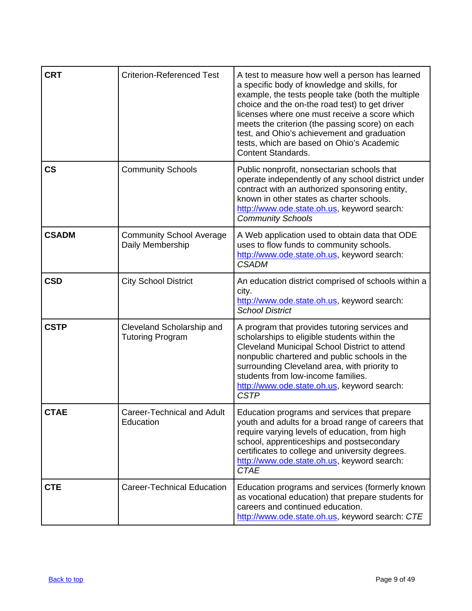| <b>CRT</b>               | <b>Criterion-Referenced Test</b>                     | A test to measure how well a person has learned<br>a specific body of knowledge and skills, for<br>example, the tests people take (both the multiple<br>choice and the on-the road test) to get driver<br>licenses where one must receive a score which<br>meets the criterion (the passing score) on each<br>test, and Ohio's achievement and graduation<br>tests, which are based on Ohio's Academic<br><b>Content Standards.</b> |
|--------------------------|------------------------------------------------------|-------------------------------------------------------------------------------------------------------------------------------------------------------------------------------------------------------------------------------------------------------------------------------------------------------------------------------------------------------------------------------------------------------------------------------------|
| $\mathsf{CS}\phantom{0}$ | <b>Community Schools</b>                             | Public nonprofit, nonsectarian schools that<br>operate independently of any school district under<br>contract with an authorized sponsoring entity,<br>known in other states as charter schools.<br>http://www.ode.state.oh.us, keyword search.<br><b>Community Schools</b>                                                                                                                                                         |
| <b>CSADM</b>             | <b>Community School Average</b><br>Daily Membership  | A Web application used to obtain data that ODE<br>uses to flow funds to community schools.<br>http://www.ode.state.oh.us, keyword search:<br><b>CSADM</b>                                                                                                                                                                                                                                                                           |
| <b>CSD</b>               | <b>City School District</b>                          | An education district comprised of schools within a<br>city.<br>http://www.ode.state.oh.us, keyword search:<br><b>School District</b>                                                                                                                                                                                                                                                                                               |
| <b>CSTP</b>              | Cleveland Scholarship and<br><b>Tutoring Program</b> | A program that provides tutoring services and<br>scholarships to eligible students within the<br>Cleveland Municipal School District to attend<br>nonpublic chartered and public schools in the<br>surrounding Cleveland area, with priority to<br>students from low-income families.<br>http://www.ode.state.oh.us, keyword search:<br><b>CSTP</b>                                                                                 |
| <b>CTAE</b>              | Career-Technical and Adult<br>Education              | Education programs and services that prepare<br>youth and adults for a broad range of careers that<br>require varying levels of education, from high<br>school, apprenticeships and postsecondary<br>certificates to college and university degrees.<br>http://www.ode.state.oh.us, keyword search:<br><b>CTAE</b>                                                                                                                  |
| <b>CTE</b>               | <b>Career-Technical Education</b>                    | Education programs and services (formerly known<br>as vocational education) that prepare students for<br>careers and continued education.<br>http://www.ode.state.oh.us, keyword search: CTE                                                                                                                                                                                                                                        |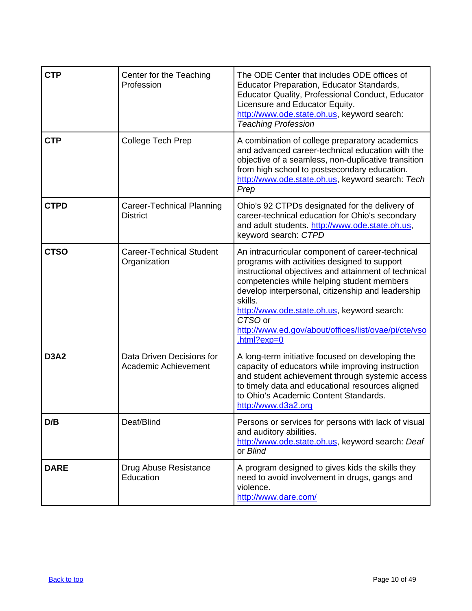| <b>CTP</b>  | Center for the Teaching<br>Profession             | The ODE Center that includes ODE offices of<br>Educator Preparation, Educator Standards,<br>Educator Quality, Professional Conduct, Educator<br>Licensure and Educator Equity.<br>http://www.ode.state.oh.us, keyword search:<br><b>Teaching Profession</b>                                                                                                                                            |
|-------------|---------------------------------------------------|--------------------------------------------------------------------------------------------------------------------------------------------------------------------------------------------------------------------------------------------------------------------------------------------------------------------------------------------------------------------------------------------------------|
| <b>CTP</b>  | College Tech Prep                                 | A combination of college preparatory academics<br>and advanced career-technical education with the<br>objective of a seamless, non-duplicative transition<br>from high school to postsecondary education.<br>http://www.ode.state.oh.us, keyword search: Tech<br>Prep                                                                                                                                  |
| <b>CTPD</b> | Career-Technical Planning<br><b>District</b>      | Ohio's 92 CTPDs designated for the delivery of<br>career-technical education for Ohio's secondary<br>and adult students. http://www.ode.state.oh.us,<br>keyword search: CTPD                                                                                                                                                                                                                           |
| <b>CTSO</b> | <b>Career-Technical Student</b><br>Organization   | An intracurricular component of career-technical<br>programs with activities designed to support<br>instructional objectives and attainment of technical<br>competencies while helping student members<br>develop interpersonal, citizenship and leadership<br>skills.<br>http://www.ode.state.oh.us, keyword search:<br>CTSO or<br>http://www.ed.gov/about/offices/list/ovae/pi/cte/vso<br>html?exp=0 |
| <b>D3A2</b> | Data Driven Decisions for<br>Academic Achievement | A long-term initiative focused on developing the<br>capacity of educators while improving instruction<br>and student achievement through systemic access<br>to timely data and educational resources aligned<br>to Ohio's Academic Content Standards.<br>http://www.d3a2.org                                                                                                                           |
| D/B         | Deaf/Blind                                        | Persons or services for persons with lack of visual<br>and auditory abilities.<br>http://www.ode.state.oh.us, keyword search: Deaf<br>or Blind                                                                                                                                                                                                                                                         |
| <b>DARE</b> | Drug Abuse Resistance<br>Education                | A program designed to gives kids the skills they<br>need to avoid involvement in drugs, gangs and<br>violence.<br>http://www.dare.com/                                                                                                                                                                                                                                                                 |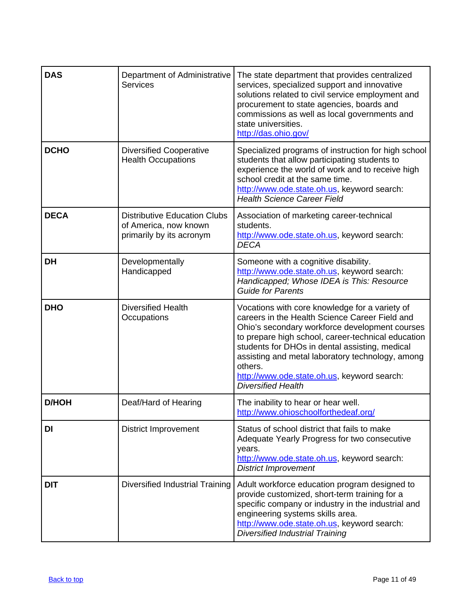<span id="page-10-0"></span>

| <b>DAS</b>   | Department of Administrative<br><b>Services</b>                                          | The state department that provides centralized<br>services, specialized support and innovative<br>solutions related to civil service employment and<br>procurement to state agencies, boards and<br>commissions as well as local governments and<br>state universities.<br>http://das.ohio.gov/                                                                                                       |
|--------------|------------------------------------------------------------------------------------------|-------------------------------------------------------------------------------------------------------------------------------------------------------------------------------------------------------------------------------------------------------------------------------------------------------------------------------------------------------------------------------------------------------|
| <b>DCHO</b>  | <b>Diversified Cooperative</b><br><b>Health Occupations</b>                              | Specialized programs of instruction for high school<br>students that allow participating students to<br>experience the world of work and to receive high<br>school credit at the same time.<br>http://www.ode.state.oh.us, keyword search:<br><b>Health Science Career Field</b>                                                                                                                      |
| <b>DECA</b>  | <b>Distributive Education Clubs</b><br>of America, now known<br>primarily by its acronym | Association of marketing career-technical<br>students.<br>http://www.ode.state.oh.us, keyword search:<br><b>DECA</b>                                                                                                                                                                                                                                                                                  |
| <b>DH</b>    | Developmentally<br>Handicapped                                                           | Someone with a cognitive disability.<br>http://www.ode.state.oh.us, keyword search:<br>Handicapped; Whose IDEA is This: Resource<br><b>Guide for Parents</b>                                                                                                                                                                                                                                          |
| <b>DHO</b>   | <b>Diversified Health</b><br>Occupations                                                 | Vocations with core knowledge for a variety of<br>careers in the Health Science Career Field and<br>Ohio's secondary workforce development courses<br>to prepare high school, career-technical education<br>students for DHOs in dental assisting, medical<br>assisting and metal laboratory technology, among<br>others.<br>http://www.ode.state.oh.us, keyword search:<br><b>Diversified Health</b> |
| <b>D/HOH</b> | Deaf/Hard of Hearing                                                                     | The inability to hear or hear well.<br>http://www.ohioschoolforthedeaf.org/                                                                                                                                                                                                                                                                                                                           |
| DI           | <b>District Improvement</b>                                                              | Status of school district that fails to make<br>Adequate Yearly Progress for two consecutive<br>years.<br>http://www.ode.state.oh.us, keyword search:<br><b>District Improvement</b>                                                                                                                                                                                                                  |
| <b>DIT</b>   | <b>Diversified Industrial Training</b>                                                   | Adult workforce education program designed to<br>provide customized, short-term training for a<br>specific company or industry in the industrial and<br>engineering systems skills area.<br>http://www.ode.state.oh.us, keyword search:<br><b>Diversified Industrial Training</b>                                                                                                                     |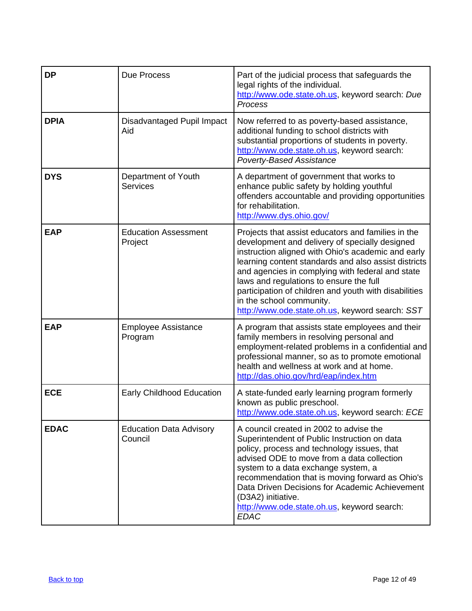<span id="page-11-0"></span>

| <b>DP</b>   | Due Process                               | Part of the judicial process that safeguards the<br>legal rights of the individual.<br>http://www.ode.state.oh.us, keyword search: Due<br>Process                                                                                                                                                                                                                                                                                                         |
|-------------|-------------------------------------------|-----------------------------------------------------------------------------------------------------------------------------------------------------------------------------------------------------------------------------------------------------------------------------------------------------------------------------------------------------------------------------------------------------------------------------------------------------------|
| <b>DPIA</b> | Disadvantaged Pupil Impact<br>Aid         | Now referred to as poverty-based assistance,<br>additional funding to school districts with<br>substantial proportions of students in poverty.<br>http://www.ode.state.oh.us, keyword search:<br><b>Poverty-Based Assistance</b>                                                                                                                                                                                                                          |
| <b>DYS</b>  | Department of Youth<br><b>Services</b>    | A department of government that works to<br>enhance public safety by holding youthful<br>offenders accountable and providing opportunities<br>for rehabilitation.<br>http://www.dys.ohio.gov/                                                                                                                                                                                                                                                             |
| <b>EAP</b>  | <b>Education Assessment</b><br>Project    | Projects that assist educators and families in the<br>development and delivery of specially designed<br>instruction aligned with Ohio's academic and early<br>learning content standards and also assist districts<br>and agencies in complying with federal and state<br>laws and regulations to ensure the full<br>participation of children and youth with disabilities<br>in the school community.<br>http://www.ode.state.oh.us, keyword search: SST |
| <b>EAP</b>  | <b>Employee Assistance</b><br>Program     | A program that assists state employees and their<br>family members in resolving personal and<br>employment-related problems in a confidential and<br>professional manner, so as to promote emotional<br>health and wellness at work and at home.<br>http://das.ohio.gov/hrd/eap/index.htm                                                                                                                                                                 |
| <b>ECE</b>  | Early Childhood Education                 | A state-funded early learning program formerly<br>known as public preschool.<br>http://www.ode.state.oh.us, keyword search: ECE                                                                                                                                                                                                                                                                                                                           |
| <b>EDAC</b> | <b>Education Data Advisory</b><br>Council | A council created in 2002 to advise the<br>Superintendent of Public Instruction on data<br>policy, process and technology issues, that<br>advised ODE to move from a data collection<br>system to a data exchange system, a<br>recommendation that is moving forward as Ohio's<br>Data Driven Decisions for Academic Achievement<br>(D3A2) initiative.<br>http://www.ode.state.oh.us, keyword search:<br><b>EDAC</b>                                      |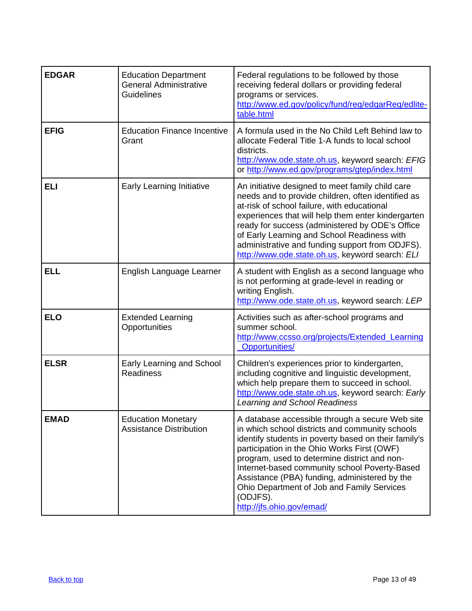| <b>EDGAR</b> | <b>Education Department</b><br><b>General Administrative</b><br><b>Guidelines</b> | Federal regulations to be followed by those<br>receiving federal dollars or providing federal<br>programs or services.<br>http://www.ed.gov/policy/fund/reg/edgarReg/edlite-<br>table.html                                                                                                                                                                                                                                                         |
|--------------|-----------------------------------------------------------------------------------|----------------------------------------------------------------------------------------------------------------------------------------------------------------------------------------------------------------------------------------------------------------------------------------------------------------------------------------------------------------------------------------------------------------------------------------------------|
| <b>EFIG</b>  | <b>Education Finance Incentive</b><br>Grant                                       | A formula used in the No Child Left Behind law to<br>allocate Federal Title 1-A funds to local school<br>districts.<br>http://www.ode.state.oh.us, keyword search: EFIG<br>or http://www.ed.gov/programs/gtep/index.html                                                                                                                                                                                                                           |
| <b>ELI</b>   | Early Learning Initiative                                                         | An initiative designed to meet family child care<br>needs and to provide children, often identified as<br>at-risk of school failure, with educational<br>experiences that will help them enter kindergarten<br>ready for success (administered by ODE's Office<br>of Early Learning and School Readiness with<br>administrative and funding support from ODJFS).<br>http://www.ode.state.oh.us, keyword search: ELI                                |
| <b>ELL</b>   | English Language Learner                                                          | A student with English as a second language who<br>is not performing at grade-level in reading or<br>writing English.<br>http://www.ode.state.oh.us, keyword search: LEP                                                                                                                                                                                                                                                                           |
| <b>ELO</b>   | <b>Extended Learning</b><br>Opportunities                                         | Activities such as after-school programs and<br>summer school.<br>http://www.ccsso.org/projects/Extended Learning<br><b>Opportunities/</b>                                                                                                                                                                                                                                                                                                         |
| <b>ELSR</b>  | Early Learning and School<br><b>Readiness</b>                                     | Children's experiences prior to kindergarten,<br>including cognitive and linguistic development,<br>which help prepare them to succeed in school.<br>http://www.ode.state.oh.us, keyword search: Early<br><b>Learning and School Readiness</b>                                                                                                                                                                                                     |
| <b>EMAD</b>  | <b>Education Monetary</b><br><b>Assistance Distribution</b>                       | A database accessible through a secure Web site<br>in which school districts and community schools<br>identify students in poverty based on their family's<br>participation in the Ohio Works First (OWF)<br>program, used to determine district and non-<br>Internet-based community school Poverty-Based<br>Assistance (PBA) funding, administered by the<br>Ohio Department of Job and Family Services<br>(ODJFS).<br>http://jfs.ohio.gov/emad/ |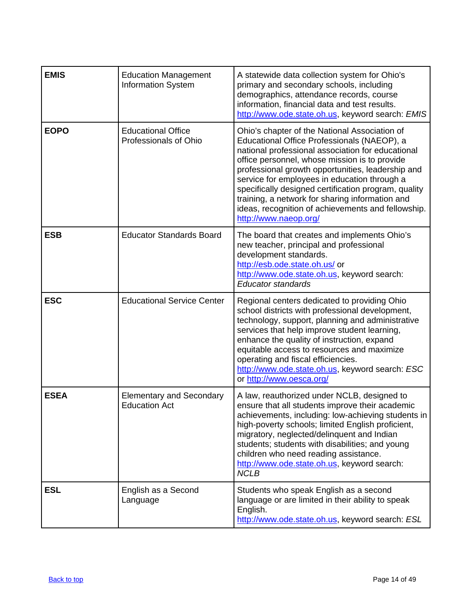| <b>EMIS</b> | <b>Education Management</b><br><b>Information System</b> | A statewide data collection system for Ohio's<br>primary and secondary schools, including<br>demographics, attendance records, course<br>information, financial data and test results.<br>http://www.ode.state.oh.us, keyword search: EMIS                                                                                                                                                                                                                                                        |
|-------------|----------------------------------------------------------|---------------------------------------------------------------------------------------------------------------------------------------------------------------------------------------------------------------------------------------------------------------------------------------------------------------------------------------------------------------------------------------------------------------------------------------------------------------------------------------------------|
| <b>EOPO</b> | <b>Educational Office</b><br>Professionals of Ohio       | Ohio's chapter of the National Association of<br>Educational Office Professionals (NAEOP), a<br>national professional association for educational<br>office personnel, whose mission is to provide<br>professional growth opportunities, leadership and<br>service for employees in education through a<br>specifically designed certification program, quality<br>training, a network for sharing information and<br>ideas, recognition of achievements and fellowship.<br>http://www.naeop.org/ |
| <b>ESB</b>  | <b>Educator Standards Board</b>                          | The board that creates and implements Ohio's<br>new teacher, principal and professional<br>development standards.<br>http://esb.ode.state.oh.us/ or<br>http://www.ode.state.oh.us, keyword search:<br><b>Educator standards</b>                                                                                                                                                                                                                                                                   |
| <b>ESC</b>  | <b>Educational Service Center</b>                        | Regional centers dedicated to providing Ohio<br>school districts with professional development,<br>technology, support, planning and administrative<br>services that help improve student learning,<br>enhance the quality of instruction, expand<br>equitable access to resources and maximize<br>operating and fiscal efficiencies.<br>http://www.ode.state.oh.us, keyword search: ESC<br>or http://www.oesca.org/                                                                              |
| <b>ESEA</b> | <b>Elementary and Secondary</b><br><b>Education Act</b>  | A law, reauthorized under NCLB, designed to<br>ensure that all students improve their academic<br>achievements, including: low-achieving students in<br>high-poverty schools; limited English proficient,<br>migratory, neglected/delinquent and Indian<br>students; students with disabilities; and young<br>children who need reading assistance.<br>http://www.ode.state.oh.us, keyword search:<br><b>NCLB</b>                                                                                 |
| <b>ESL</b>  | English as a Second<br>Language                          | Students who speak English as a second<br>language or are limited in their ability to speak<br>English.<br>http://www.ode.state.oh.us, keyword search: ESL                                                                                                                                                                                                                                                                                                                                        |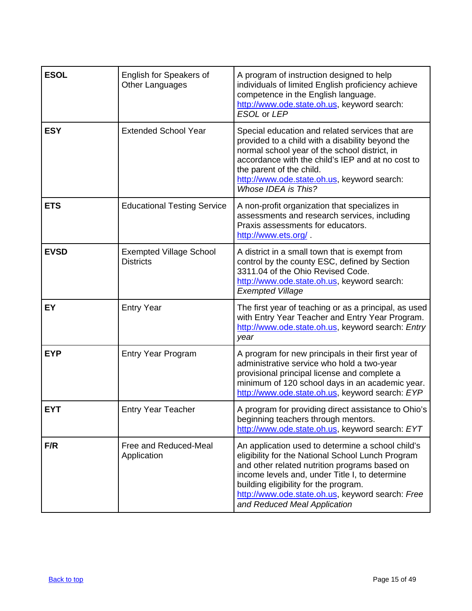<span id="page-14-0"></span>

| <b>ESOL</b> | English for Speakers of<br>Other Languages         | A program of instruction designed to help<br>individuals of limited English proficiency achieve<br>competence in the English language.<br>http://www.ode.state.oh.us, keyword search:<br>ESOL or LEP                                                                                                                                   |
|-------------|----------------------------------------------------|----------------------------------------------------------------------------------------------------------------------------------------------------------------------------------------------------------------------------------------------------------------------------------------------------------------------------------------|
| <b>ESY</b>  | <b>Extended School Year</b>                        | Special education and related services that are<br>provided to a child with a disability beyond the<br>normal school year of the school district, in<br>accordance with the child's IEP and at no cost to<br>the parent of the child.<br>http://www.ode.state.oh.us, keyword search:<br>Whose IDEA is This?                            |
| <b>ETS</b>  | <b>Educational Testing Service</b>                 | A non-profit organization that specializes in<br>assessments and research services, including<br>Praxis assessments for educators.<br>http://www.ets.org/                                                                                                                                                                              |
| <b>EVSD</b> | <b>Exempted Village School</b><br><b>Districts</b> | A district in a small town that is exempt from<br>control by the county ESC, defined by Section<br>3311.04 of the Ohio Revised Code.<br>http://www.ode.state.oh.us, keyword search:<br><b>Exempted Village</b>                                                                                                                         |
| EY          | <b>Entry Year</b>                                  | The first year of teaching or as a principal, as used<br>with Entry Year Teacher and Entry Year Program.<br>http://www.ode.state.oh.us, keyword search: Entry<br>year                                                                                                                                                                  |
| <b>EYP</b>  | <b>Entry Year Program</b>                          | A program for new principals in their first year of<br>administrative service who hold a two-year<br>provisional principal license and complete a<br>minimum of 120 school days in an academic year.<br>http://www.ode.state.oh.us, keyword search: EYP                                                                                |
| <b>EYT</b>  | <b>Entry Year Teacher</b>                          | A program for providing direct assistance to Ohio's<br>beginning teachers through mentors.<br>http://www.ode.state.oh.us, keyword search: EYT                                                                                                                                                                                          |
| F/R         | Free and Reduced-Meal<br>Application               | An application used to determine a school child's<br>eligibility for the National School Lunch Program<br>and other related nutrition programs based on<br>income levels and, under Title I, to determine<br>building eligibility for the program.<br>http://www.ode.state.oh.us, keyword search: Free<br>and Reduced Meal Application |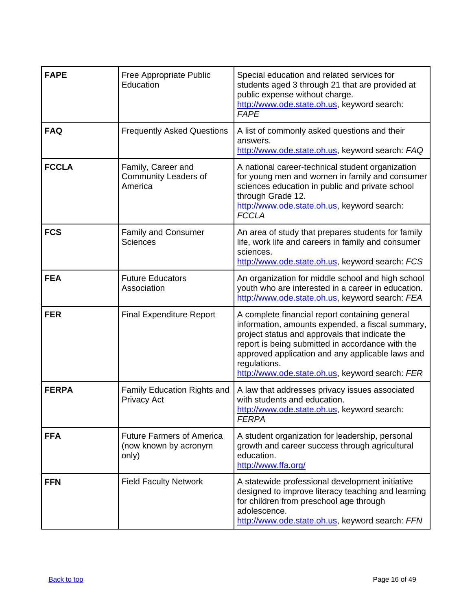| <b>FAPE</b>  | Free Appropriate Public<br>Education                               | Special education and related services for<br>students aged 3 through 21 that are provided at<br>public expense without charge.<br>http://www.ode.state.oh.us, keyword search:<br><b>FAPE</b>                                                                                                                                   |
|--------------|--------------------------------------------------------------------|---------------------------------------------------------------------------------------------------------------------------------------------------------------------------------------------------------------------------------------------------------------------------------------------------------------------------------|
| <b>FAQ</b>   | <b>Frequently Asked Questions</b>                                  | A list of commonly asked questions and their<br>answers.<br>http://www.ode.state.oh.us, keyword search: FAQ                                                                                                                                                                                                                     |
| <b>FCCLA</b> | Family, Career and<br>Community Leaders of<br>America              | A national career-technical student organization<br>for young men and women in family and consumer<br>sciences education in public and private school<br>through Grade 12.<br>http://www.ode.state.oh.us, keyword search:<br><b>FCCLA</b>                                                                                       |
| <b>FCS</b>   | <b>Family and Consumer</b><br><b>Sciences</b>                      | An area of study that prepares students for family<br>life, work life and careers in family and consumer<br>sciences.<br>http://www.ode.state.oh.us, keyword search: FCS                                                                                                                                                        |
| <b>FEA</b>   | <b>Future Educators</b><br>Association                             | An organization for middle school and high school<br>youth who are interested in a career in education.<br>http://www.ode.state.oh.us, keyword search: FEA                                                                                                                                                                      |
| <b>FER</b>   | <b>Final Expenditure Report</b>                                    | A complete financial report containing general<br>information, amounts expended, a fiscal summary,<br>project status and approvals that indicate the<br>report is being submitted in accordance with the<br>approved application and any applicable laws and<br>regulations.<br>http://www.ode.state.oh.us, keyword search: FER |
| <b>FERPA</b> | Family Education Rights and<br><b>Privacy Act</b>                  | A law that addresses privacy issues associated<br>with students and education.<br>http://www.ode.state.oh.us, keyword search:<br><b>FERPA</b>                                                                                                                                                                                   |
| <b>FFA</b>   | <b>Future Farmers of America</b><br>(now known by acronym<br>only) | A student organization for leadership, personal<br>growth and career success through agricultural<br>education.<br>http://www.ffa.org/                                                                                                                                                                                          |
| <b>FFN</b>   | <b>Field Faculty Network</b>                                       | A statewide professional development initiative<br>designed to improve literacy teaching and learning<br>for children from preschool age through<br>adolescence.<br>http://www.ode.state.oh.us, keyword search: FFN                                                                                                             |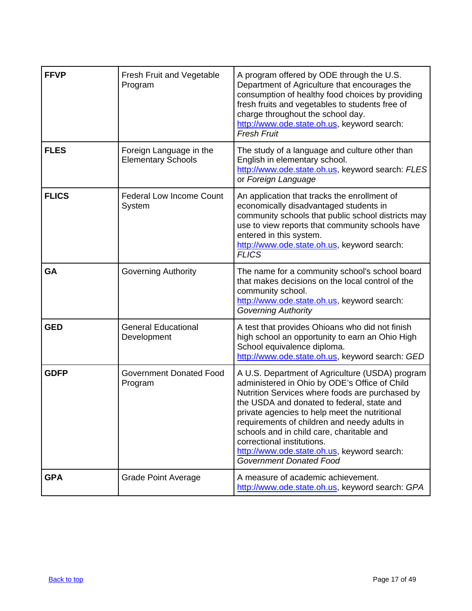<span id="page-16-0"></span>

| <b>FFVP</b>  | <b>Fresh Fruit and Vegetable</b><br>Program          | A program offered by ODE through the U.S.<br>Department of Agriculture that encourages the<br>consumption of healthy food choices by providing<br>fresh fruits and vegetables to students free of<br>charge throughout the school day.<br>http://www.ode.state.oh.us, keyword search:<br><b>Fresh Fruit</b>                                                                                                                                                    |
|--------------|------------------------------------------------------|----------------------------------------------------------------------------------------------------------------------------------------------------------------------------------------------------------------------------------------------------------------------------------------------------------------------------------------------------------------------------------------------------------------------------------------------------------------|
| <b>FLES</b>  | Foreign Language in the<br><b>Elementary Schools</b> | The study of a language and culture other than<br>English in elementary school.<br>http://www.ode.state.oh.us, keyword search: FLES<br>or Foreign Language                                                                                                                                                                                                                                                                                                     |
| <b>FLICS</b> | <b>Federal Low Income Count</b><br>System            | An application that tracks the enrollment of<br>economically disadvantaged students in<br>community schools that public school districts may<br>use to view reports that community schools have<br>entered in this system.<br>http://www.ode.state.oh.us, keyword search:<br><b>FLICS</b>                                                                                                                                                                      |
| GA           | <b>Governing Authority</b>                           | The name for a community school's school board<br>that makes decisions on the local control of the<br>community school.<br>http://www.ode.state.oh.us, keyword search:<br><b>Governing Authority</b>                                                                                                                                                                                                                                                           |
| <b>GED</b>   | <b>General Educational</b><br>Development            | A test that provides Ohioans who did not finish<br>high school an opportunity to earn an Ohio High<br>School equivalence diploma.<br>http://www.ode.state.oh.us, keyword search: GED                                                                                                                                                                                                                                                                           |
| <b>GDFP</b>  | <b>Government Donated Food</b><br>Program            | A U.S. Department of Agriculture (USDA) program<br>administered in Ohio by ODE's Office of Child<br>Nutrition Services where foods are purchased by<br>the USDA and donated to federal, state and<br>private agencies to help meet the nutritional<br>requirements of children and needy adults in<br>schools and in child care, charitable and<br>correctional institutions.<br>http://www.ode.state.oh.us, keyword search:<br><b>Government Donated Food</b> |
| <b>GPA</b>   | <b>Grade Point Average</b>                           | A measure of academic achievement.<br>http://www.ode.state.oh.us, keyword search: GPA                                                                                                                                                                                                                                                                                                                                                                          |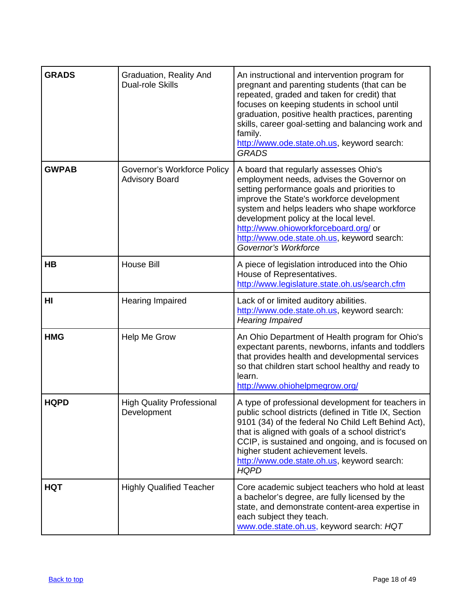<span id="page-17-0"></span>

| <b>GRADS</b>   | Graduation, Reality And<br><b>Dual-role Skills</b>   | An instructional and intervention program for<br>pregnant and parenting students (that can be<br>repeated, graded and taken for credit) that<br>focuses on keeping students in school until<br>graduation, positive health practices, parenting<br>skills, career goal-setting and balancing work and<br>family.<br>http://www.ode.state.oh.us, keyword search:<br><b>GRADS</b>           |
|----------------|------------------------------------------------------|-------------------------------------------------------------------------------------------------------------------------------------------------------------------------------------------------------------------------------------------------------------------------------------------------------------------------------------------------------------------------------------------|
| <b>GWPAB</b>   | Governor's Workforce Policy<br><b>Advisory Board</b> | A board that regularly assesses Ohio's<br>employment needs, advises the Governor on<br>setting performance goals and priorities to<br>improve the State's workforce development<br>system and helps leaders who shape workforce<br>development policy at the local level.<br>http://www.ohioworkforceboard.org/ or<br>http://www.ode.state.oh.us, keyword search:<br>Governor's Workforce |
| HB             | <b>House Bill</b>                                    | A piece of legislation introduced into the Ohio<br>House of Representatives.<br>http://www.legislature.state.oh.us/search.cfm                                                                                                                                                                                                                                                             |
| H <sub>l</sub> | <b>Hearing Impaired</b>                              | Lack of or limited auditory abilities.<br>http://www.ode.state.oh.us, keyword search:<br><b>Hearing Impaired</b>                                                                                                                                                                                                                                                                          |
| <b>HMG</b>     | Help Me Grow                                         | An Ohio Department of Health program for Ohio's<br>expectant parents, newborns, infants and toddlers<br>that provides health and developmental services<br>so that children start school healthy and ready to<br>learn.<br>http://www.ohiohelpmegrow.org/                                                                                                                                 |
| <b>HQPD</b>    | <b>High Quality Professional</b><br>Development      | A type of professional development for teachers in<br>public school districts (defined in Title IX, Section<br>9101 (34) of the federal No Child Left Behind Act),<br>that is aligned with goals of a school district's<br>CCIP, is sustained and ongoing, and is focused on<br>higher student achievement levels.<br>http://www.ode.state.oh.us, keyword search:<br><b>HQPD</b>          |
| <b>HQT</b>     | <b>Highly Qualified Teacher</b>                      | Core academic subject teachers who hold at least<br>a bachelor's degree, are fully licensed by the<br>state, and demonstrate content-area expertise in<br>each subject they teach.<br>www.ode.state.oh.us, keyword search: HQT                                                                                                                                                            |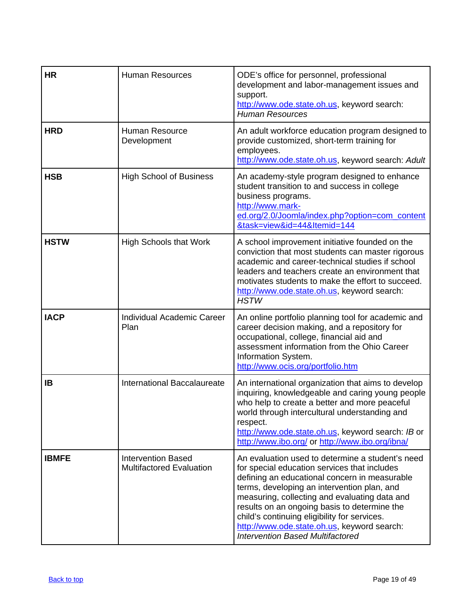<span id="page-18-0"></span>

| <b>HR</b>    | <b>Human Resources</b>                                       | ODE's office for personnel, professional<br>development and labor-management issues and<br>support.<br>http://www.ode.state.oh.us, keyword search:<br><b>Human Resources</b>                                                                                                                                                                                                                                                                |
|--------------|--------------------------------------------------------------|---------------------------------------------------------------------------------------------------------------------------------------------------------------------------------------------------------------------------------------------------------------------------------------------------------------------------------------------------------------------------------------------------------------------------------------------|
| <b>HRD</b>   | Human Resource<br>Development                                | An adult workforce education program designed to<br>provide customized, short-term training for<br>employees.<br>http://www.ode.state.oh.us, keyword search: Adult                                                                                                                                                                                                                                                                          |
| <b>HSB</b>   | <b>High School of Business</b>                               | An academy-style program designed to enhance<br>student transition to and success in college<br>business programs.<br>http://www.mark-<br>ed.org/2.0/Joomla/index.php?option=com_content<br>&task=view&id=44&Itemid=144                                                                                                                                                                                                                     |
| <b>HSTW</b>  | <b>High Schools that Work</b>                                | A school improvement initiative founded on the<br>conviction that most students can master rigorous<br>academic and career-technical studies if school<br>leaders and teachers create an environment that<br>motivates students to make the effort to succeed.<br>http://www.ode.state.oh.us, keyword search:<br><b>HSTW</b>                                                                                                                |
| <b>IACP</b>  | Individual Academic Career<br>Plan                           | An online portfolio planning tool for academic and<br>career decision making, and a repository for<br>occupational, college, financial aid and<br>assessment information from the Ohio Career<br>Information System.<br>http://www.ocis.org/portfolio.htm                                                                                                                                                                                   |
| IB           | International Baccalaureate                                  | An international organization that aims to develop<br>inquiring, knowledgeable and caring young people<br>who help to create a better and more peaceful<br>world through intercultural understanding and<br>respect.<br>http://www.ode.state.oh.us, keyword search: IB or<br>http://www.ibo.org/ or http://www.ibo.org/ibna/                                                                                                                |
| <b>IBMFE</b> | <b>Intervention Based</b><br><b>Multifactored Evaluation</b> | An evaluation used to determine a student's need<br>for special education services that includes<br>defining an educational concern in measurable<br>terms, developing an intervention plan, and<br>measuring, collecting and evaluating data and<br>results on an ongoing basis to determine the<br>child's continuing eligibility for services.<br>http://www.ode.state.oh.us, keyword search:<br><b>Intervention Based Multifactored</b> |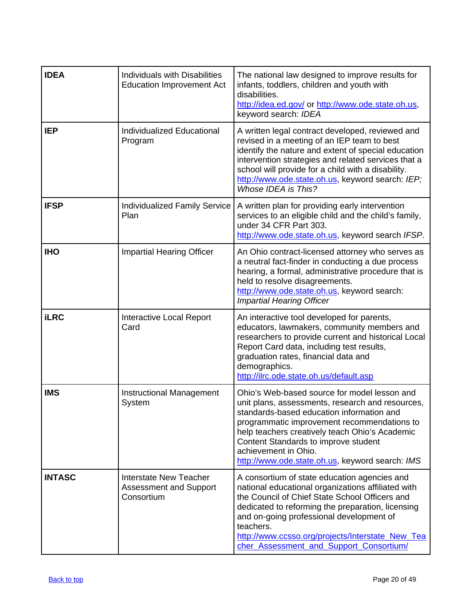| <b>IDEA</b>   | <b>Individuals with Disabilities</b><br><b>Education Improvement Act</b>     | The national law designed to improve results for<br>infants, toddlers, children and youth with<br>disabilities.<br>http://idea.ed.gov/ or http://www.ode.state.oh.us,<br>keyword search: IDEA                                                                                                                                                                     |
|---------------|------------------------------------------------------------------------------|-------------------------------------------------------------------------------------------------------------------------------------------------------------------------------------------------------------------------------------------------------------------------------------------------------------------------------------------------------------------|
| <b>IEP</b>    | Individualized Educational<br>Program                                        | A written legal contract developed, reviewed and<br>revised in a meeting of an IEP team to best<br>identify the nature and extent of special education<br>intervention strategies and related services that a<br>school will provide for a child with a disability.<br>http://www.ode.state.oh.us, keyword search: IEP;<br>Whose IDEA is This?                    |
| <b>IFSP</b>   | <b>Individualized Family Service</b><br>Plan                                 | A written plan for providing early intervention<br>services to an eligible child and the child's family,<br>under 34 CFR Part 303.<br>http://www.ode.state.oh.us, keyword search IFSP.                                                                                                                                                                            |
| <b>IHO</b>    | <b>Impartial Hearing Officer</b>                                             | An Ohio contract-licensed attorney who serves as<br>a neutral fact-finder in conducting a due process<br>hearing, a formal, administrative procedure that is<br>held to resolve disagreements.<br>http://www.ode.state.oh.us, keyword search:<br><b>Impartial Hearing Officer</b>                                                                                 |
| <b>iLRC</b>   | <b>Interactive Local Report</b><br>Card                                      | An interactive tool developed for parents,<br>educators, lawmakers, community members and<br>researchers to provide current and historical Local<br>Report Card data, including test results,<br>graduation rates, financial data and<br>demographics.<br>http://ilrc.ode.state.oh.us/default.asp                                                                 |
| <b>IMS</b>    | <b>Instructional Management</b><br>System                                    | Ohio's Web-based source for model lesson and<br>unit plans, assessments, research and resources,<br>standards-based education information and<br>programmatic improvement recommendations to<br>help teachers creatively teach Ohio's Academic<br>Content Standards to improve student<br>achievement in Ohio.<br>http://www.ode.state.oh.us, keyword search: IMS |
| <b>INTASC</b> | <b>Interstate New Teacher</b><br><b>Assessment and Support</b><br>Consortium | A consortium of state education agencies and<br>national educational organizations affiliated with<br>the Council of Chief State School Officers and<br>dedicated to reforming the preparation, licensing<br>and on-going professional development of<br>teachers.<br>http://www.ccsso.org/projects/Interstate New Tea<br>cher_Assessment_and_Support_Consortium/ |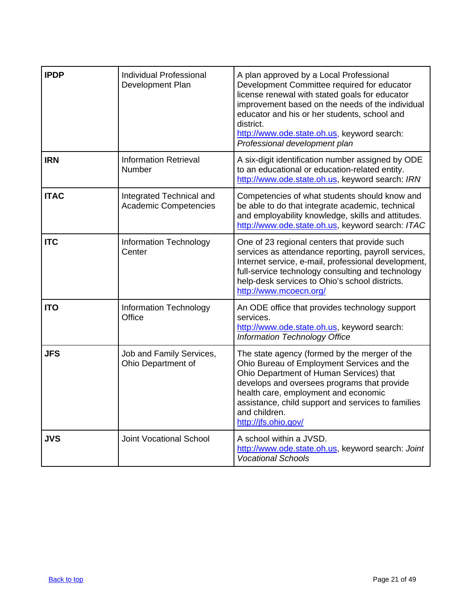<span id="page-20-0"></span>

| <b>IPDP</b> | <b>Individual Professional</b><br>Development Plan       | A plan approved by a Local Professional<br>Development Committee required for educator<br>license renewal with stated goals for educator<br>improvement based on the needs of the individual<br>educator and his or her students, school and<br>district.<br>http://www.ode.state.oh.us, keyword search:<br>Professional development plan |
|-------------|----------------------------------------------------------|-------------------------------------------------------------------------------------------------------------------------------------------------------------------------------------------------------------------------------------------------------------------------------------------------------------------------------------------|
| <b>IRN</b>  | <b>Information Retrieval</b><br>Number                   | A six-digit identification number assigned by ODE<br>to an educational or education-related entity.<br>http://www.ode.state.oh.us, keyword search: IRN                                                                                                                                                                                    |
| <b>ITAC</b> | Integrated Technical and<br><b>Academic Competencies</b> | Competencies of what students should know and<br>be able to do that integrate academic, technical<br>and employability knowledge, skills and attitudes.<br>http://www.ode.state.oh.us, keyword search: ITAC                                                                                                                               |
| <b>ITC</b>  | <b>Information Technology</b><br>Center                  | One of 23 regional centers that provide such<br>services as attendance reporting, payroll services,<br>Internet service, e-mail, professional development,<br>full-service technology consulting and technology<br>help-desk services to Ohio's school districts.<br>http://www.mcoecn.org/                                               |
| <b>ITO</b>  | <b>Information Technology</b><br>Office                  | An ODE office that provides technology support<br>services.<br>http://www.ode.state.oh.us, keyword search:<br><b>Information Technology Office</b>                                                                                                                                                                                        |
| <b>JFS</b>  | Job and Family Services,<br>Ohio Department of           | The state agency (formed by the merger of the<br>Ohio Bureau of Employment Services and the<br>Ohio Department of Human Services) that<br>develops and oversees programs that provide<br>health care, employment and economic<br>assistance, child support and services to families<br>and children.<br>http://jfs.ohio.gov/              |
| <b>JVS</b>  | <b>Joint Vocational School</b>                           | A school within a JVSD.<br>http://www.ode.state.oh.us, keyword search: Joint<br><b>Vocational Schools</b>                                                                                                                                                                                                                                 |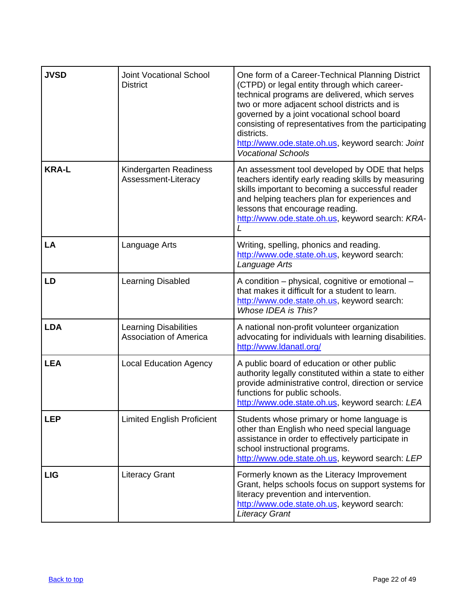<span id="page-21-0"></span>

| <b>JVSD</b>  | <b>Joint Vocational School</b><br><b>District</b>             | One form of a Career-Technical Planning District<br>(CTPD) or legal entity through which career-<br>technical programs are delivered, which serves<br>two or more adjacent school districts and is<br>governed by a joint vocational school board<br>consisting of representatives from the participating<br>districts.<br>http://www.ode.state.oh.us, keyword search: Joint<br><b>Vocational Schools</b> |
|--------------|---------------------------------------------------------------|-----------------------------------------------------------------------------------------------------------------------------------------------------------------------------------------------------------------------------------------------------------------------------------------------------------------------------------------------------------------------------------------------------------|
| <b>KRA-L</b> | Kindergarten Readiness<br>Assessment-Literacy                 | An assessment tool developed by ODE that helps<br>teachers identify early reading skills by measuring<br>skills important to becoming a successful reader<br>and helping teachers plan for experiences and<br>lessons that encourage reading.<br>http://www.ode.state.oh.us, keyword search: KRA-                                                                                                         |
| LA           | Language Arts                                                 | Writing, spelling, phonics and reading.<br>http://www.ode.state.oh.us, keyword search:<br>Language Arts                                                                                                                                                                                                                                                                                                   |
| LD           | Learning Disabled                                             | A condition – physical, cognitive or emotional –<br>that makes it difficult for a student to learn.<br>http://www.ode.state.oh.us, keyword search:<br>Whose IDEA is This?                                                                                                                                                                                                                                 |
| <b>LDA</b>   | <b>Learning Disabilities</b><br><b>Association of America</b> | A national non-profit volunteer organization<br>advocating for individuals with learning disabilities.<br>http://www.ldanatl.org/                                                                                                                                                                                                                                                                         |
| <b>LEA</b>   | <b>Local Education Agency</b>                                 | A public board of education or other public<br>authority legally constituted within a state to either<br>provide administrative control, direction or service<br>functions for public schools.<br>http://www.ode.state.oh.us, keyword search: LEA                                                                                                                                                         |
| <b>LEP</b>   | <b>Limited English Proficient</b>                             | Students whose primary or home language is<br>other than English who need special language<br>assistance in order to effectively participate in<br>school instructional programs.<br>http://www.ode.state.oh.us, keyword search: LEP                                                                                                                                                                      |
| <b>LIG</b>   | <b>Literacy Grant</b>                                         | Formerly known as the Literacy Improvement<br>Grant, helps schools focus on support systems for<br>literacy prevention and intervention.<br>http://www.ode.state.oh.us, keyword search:<br><b>Literacy Grant</b>                                                                                                                                                                                          |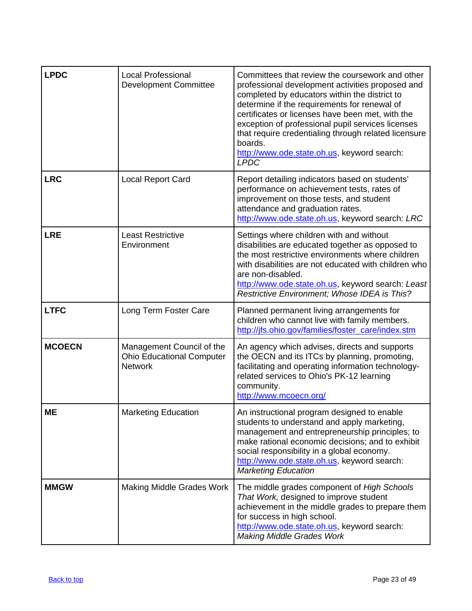<span id="page-22-0"></span>

| <b>LPDC</b>   | <b>Local Professional</b><br><b>Development Committee</b>                       | Committees that review the coursework and other<br>professional development activities proposed and<br>completed by educators within the district to<br>determine if the requirements for renewal of<br>certificates or licenses have been met, with the<br>exception of professional pupil services licenses<br>that require credentialing through related licensure<br>boards.<br>http://www.ode.state.oh.us, keyword search:<br><b>LPDC</b> |
|---------------|---------------------------------------------------------------------------------|------------------------------------------------------------------------------------------------------------------------------------------------------------------------------------------------------------------------------------------------------------------------------------------------------------------------------------------------------------------------------------------------------------------------------------------------|
| <b>LRC</b>    | Local Report Card                                                               | Report detailing indicators based on students'<br>performance on achievement tests, rates of<br>improvement on those tests, and student<br>attendance and graduation rates.<br>http://www.ode.state.oh.us, keyword search: LRC                                                                                                                                                                                                                 |
| <b>LRE</b>    | <b>Least Restrictive</b><br>Environment                                         | Settings where children with and without<br>disabilities are educated together as opposed to<br>the most restrictive environments where children<br>with disabilities are not educated with children who<br>are non-disabled.<br>http://www.ode.state.oh.us, keyword search: Least<br>Restrictive Environment; Whose IDEA is This?                                                                                                             |
| <b>LTFC</b>   | Long Term Foster Care                                                           | Planned permanent living arrangements for<br>children who cannot live with family members.<br>http://jfs.ohio.gov/families/foster_care/index.stm                                                                                                                                                                                                                                                                                               |
| <b>MCOECN</b> | Management Council of the<br><b>Ohio Educational Computer</b><br><b>Network</b> | An agency which advises, directs and supports<br>the OECN and its ITCs by planning, promoting,<br>facilitating and operating information technology-<br>related services to Ohio's PK-12 learning<br>community.<br>http://www.mcoecn.org/                                                                                                                                                                                                      |
| <b>ME</b>     | <b>Marketing Education</b>                                                      | An instructional program designed to enable<br>students to understand and apply marketing,<br>management and entrepreneurship principles; to<br>make rational economic decisions; and to exhibit<br>social responsibility in a global economy.<br>http://www.ode.state.oh.us, keyword search:<br><b>Marketing Education</b>                                                                                                                    |
| <b>MMGW</b>   | <b>Making Middle Grades Work</b>                                                | The middle grades component of High Schools<br>That Work, designed to improve student<br>achievement in the middle grades to prepare them<br>for success in high school.<br>http://www.ode.state.oh.us, keyword search:<br><b>Making Middle Grades Work</b>                                                                                                                                                                                    |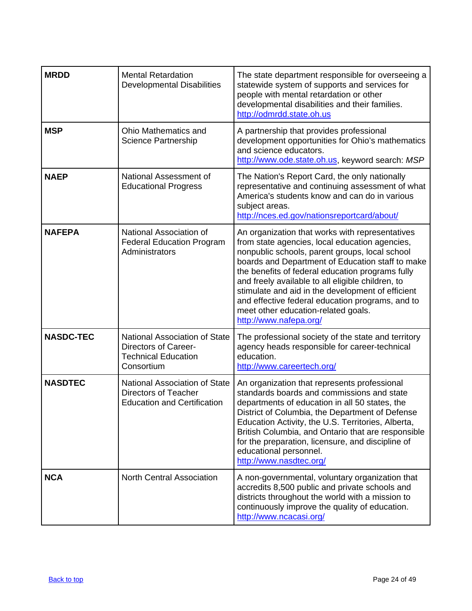<span id="page-23-0"></span>

| <b>MRDD</b>      | <b>Mental Retardation</b><br><b>Developmental Disabilities</b>                                                  | The state department responsible for overseeing a<br>statewide system of supports and services for<br>people with mental retardation or other<br>developmental disabilities and their families.<br>http://odmrdd.state.oh.us                                                                                                                                                                                                                                                               |
|------------------|-----------------------------------------------------------------------------------------------------------------|--------------------------------------------------------------------------------------------------------------------------------------------------------------------------------------------------------------------------------------------------------------------------------------------------------------------------------------------------------------------------------------------------------------------------------------------------------------------------------------------|
| <b>MSP</b>       | Ohio Mathematics and<br><b>Science Partnership</b>                                                              | A partnership that provides professional<br>development opportunities for Ohio's mathematics<br>and science educators.<br>http://www.ode.state.oh.us, keyword search: MSP                                                                                                                                                                                                                                                                                                                  |
| <b>NAEP</b>      | National Assessment of<br><b>Educational Progress</b>                                                           | The Nation's Report Card, the only nationally<br>representative and continuing assessment of what<br>America's students know and can do in various<br>subject areas.<br>http://nces.ed.gov/nationsreportcard/about/                                                                                                                                                                                                                                                                        |
| <b>NAFEPA</b>    | National Association of<br><b>Federal Education Program</b><br>Administrators                                   | An organization that works with representatives<br>from state agencies, local education agencies,<br>nonpublic schools, parent groups, local school<br>boards and Department of Education staff to make<br>the benefits of federal education programs fully<br>and freely available to all eligible children, to<br>stimulate and aid in the development of efficient<br>and effective federal education programs, and to<br>meet other education-related goals.<br>http://www.nafepa.org/ |
| <b>NASDC-TEC</b> | <b>National Association of State</b><br><b>Directors of Career-</b><br><b>Technical Education</b><br>Consortium | The professional society of the state and territory<br>agency heads responsible for career-technical<br>education.<br>http://www.careertech.org/                                                                                                                                                                                                                                                                                                                                           |
| <b>NASDTEC</b>   | National Association of State<br><b>Directors of Teacher</b><br><b>Education and Certification</b>              | An organization that represents professional<br>standards boards and commissions and state<br>departments of education in all 50 states, the<br>District of Columbia, the Department of Defense<br>Education Activity, the U.S. Territories, Alberta,<br>British Columbia, and Ontario that are responsible<br>for the preparation, licensure, and discipline of<br>educational personnel.<br>http://www.nasdtec.org/                                                                      |
| <b>NCA</b>       | <b>North Central Association</b>                                                                                | A non-governmental, voluntary organization that<br>accredits 8,500 public and private schools and<br>districts throughout the world with a mission to<br>continuously improve the quality of education.<br>http://www.ncacasi.org/                                                                                                                                                                                                                                                         |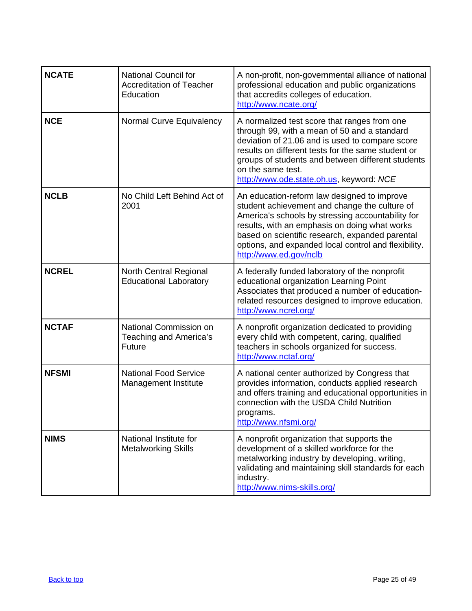| <b>NCATE</b> | <b>National Council for</b><br><b>Accreditation of Teacher</b><br>Education | A non-profit, non-governmental alliance of national<br>professional education and public organizations<br>that accredits colleges of education.<br>http://www.ncate.org/                                                                                                                                                                |
|--------------|-----------------------------------------------------------------------------|-----------------------------------------------------------------------------------------------------------------------------------------------------------------------------------------------------------------------------------------------------------------------------------------------------------------------------------------|
| <b>NCE</b>   | Normal Curve Equivalency                                                    | A normalized test score that ranges from one<br>through 99, with a mean of 50 and a standard<br>deviation of 21.06 and is used to compare score<br>results on different tests for the same student or<br>groups of students and between different students<br>on the same test.<br>http://www.ode.state.oh.us, keyword: NCE             |
| <b>NCLB</b>  | No Child Left Behind Act of<br>2001                                         | An education-reform law designed to improve<br>student achievement and change the culture of<br>America's schools by stressing accountability for<br>results, with an emphasis on doing what works<br>based on scientific research, expanded parental<br>options, and expanded local control and flexibility.<br>http://www.ed.gov/nclb |
| <b>NCREL</b> | <b>North Central Regional</b><br><b>Educational Laboratory</b>              | A federally funded laboratory of the nonprofit<br>educational organization Learning Point<br>Associates that produced a number of education-<br>related resources designed to improve education.<br>http://www.ncrel.org/                                                                                                               |
| <b>NCTAF</b> | National Commission on<br>Teaching and America's<br>Future                  | A nonprofit organization dedicated to providing<br>every child with competent, caring, qualified<br>teachers in schools organized for success.<br>http://www.nctaf.org/                                                                                                                                                                 |
| <b>NFSMI</b> | <b>National Food Service</b><br>Management Institute                        | A national center authorized by Congress that<br>provides information, conducts applied research<br>and offers training and educational opportunities in<br>connection with the USDA Child Nutrition<br>programs.<br>http://www.nfsmi.org/                                                                                              |
| <b>NIMS</b>  | National Institute for<br><b>Metalworking Skills</b>                        | A nonprofit organization that supports the<br>development of a skilled workforce for the<br>metalworking industry by developing, writing,<br>validating and maintaining skill standards for each<br>industry.<br>http://www.nims-skills.org/                                                                                            |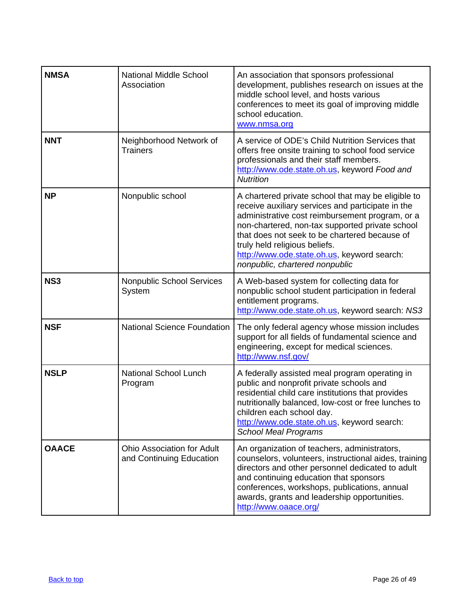<span id="page-25-0"></span>

| <b>NMSA</b>  | <b>National Middle School</b><br>Association                  | An association that sponsors professional<br>development, publishes research on issues at the<br>middle school level, and hosts various<br>conferences to meet its goal of improving middle<br>school education.<br>www.nmsa.org                                                                                                                                                 |
|--------------|---------------------------------------------------------------|----------------------------------------------------------------------------------------------------------------------------------------------------------------------------------------------------------------------------------------------------------------------------------------------------------------------------------------------------------------------------------|
| <b>NNT</b>   | Neighborhood Network of<br><b>Trainers</b>                    | A service of ODE's Child Nutrition Services that<br>offers free onsite training to school food service<br>professionals and their staff members.<br>http://www.ode.state.oh.us, keyword Food and<br><b>Nutrition</b>                                                                                                                                                             |
| <b>NP</b>    | Nonpublic school                                              | A chartered private school that may be eligible to<br>receive auxiliary services and participate in the<br>administrative cost reimbursement program, or a<br>non-chartered, non-tax supported private school<br>that does not seek to be chartered because of<br>truly held religious beliefs.<br>http://www.ode.state.oh.us, keyword search:<br>nonpublic, chartered nonpublic |
| <b>NS3</b>   | Nonpublic School Services<br>System                           | A Web-based system for collecting data for<br>nonpublic school student participation in federal<br>entitlement programs.<br>http://www.ode.state.oh.us, keyword search: NS3                                                                                                                                                                                                      |
| <b>NSF</b>   | <b>National Science Foundation</b>                            | The only federal agency whose mission includes<br>support for all fields of fundamental science and<br>engineering, except for medical sciences.<br>http://www.nsf.gov/                                                                                                                                                                                                          |
| <b>NSLP</b>  | <b>National School Lunch</b><br>Program                       | A federally assisted meal program operating in<br>public and nonprofit private schools and<br>residential child care institutions that provides<br>nutritionally balanced, low-cost or free lunches to<br>children each school day.<br>http://www.ode.state.oh.us, keyword search:<br><b>School Meal Programs</b>                                                                |
| <b>OAACE</b> | <b>Ohio Association for Adult</b><br>and Continuing Education | An organization of teachers, administrators,<br>counselors, volunteers, instructional aides, training<br>directors and other personnel dedicated to adult<br>and continuing education that sponsors<br>conferences, workshops, publications, annual<br>awards, grants and leadership opportunities.<br>http://www.oaace.org/                                                     |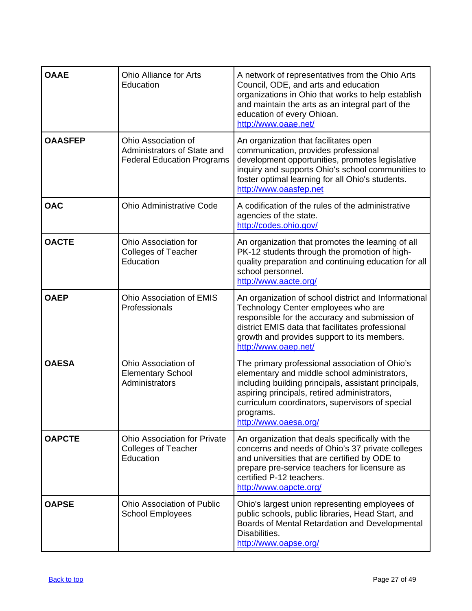| <b>OAAE</b>    | <b>Ohio Alliance for Arts</b><br>Education                                              | A network of representatives from the Ohio Arts<br>Council, ODE, and arts and education<br>organizations in Ohio that works to help establish<br>and maintain the arts as an integral part of the<br>education of every Ohioan.<br>http://www.oaae.net/                                         |
|----------------|-----------------------------------------------------------------------------------------|-------------------------------------------------------------------------------------------------------------------------------------------------------------------------------------------------------------------------------------------------------------------------------------------------|
| <b>OAASFEP</b> | Ohio Association of<br>Administrators of State and<br><b>Federal Education Programs</b> | An organization that facilitates open<br>communication, provides professional<br>development opportunities, promotes legislative<br>inquiry and supports Ohio's school communities to<br>foster optimal learning for all Ohio's students.<br>http://www.oaasfep.net                             |
| <b>OAC</b>     | <b>Ohio Administrative Code</b>                                                         | A codification of the rules of the administrative<br>agencies of the state.<br>http://codes.ohio.gov/                                                                                                                                                                                           |
| <b>OACTE</b>   | Ohio Association for<br><b>Colleges of Teacher</b><br>Education                         | An organization that promotes the learning of all<br>PK-12 students through the promotion of high-<br>quality preparation and continuing education for all<br>school personnel.<br>http://www.aacte.org/                                                                                        |
| <b>OAEP</b>    | Ohio Association of EMIS<br>Professionals                                               | An organization of school district and Informational<br>Technology Center employees who are<br>responsible for the accuracy and submission of<br>district EMIS data that facilitates professional<br>growth and provides support to its members.<br>http://www.oaep.net/                        |
| <b>OAESA</b>   | Ohio Association of<br><b>Elementary School</b><br>Administrators                       | The primary professional association of Ohio's<br>elementary and middle school administrators,<br>including building principals, assistant principals,<br>aspiring principals, retired administrators,<br>curriculum coordinators, supervisors of special<br>programs.<br>http://www.oaesa.org/ |
| <b>OAPCTE</b>  | <b>Ohio Association for Private</b><br><b>Colleges of Teacher</b><br>Education          | An organization that deals specifically with the<br>concerns and needs of Ohio's 37 private colleges<br>and universities that are certified by ODE to<br>prepare pre-service teachers for licensure as<br>certified P-12 teachers.<br>http://www.oapcte.org/                                    |
| <b>OAPSE</b>   | <b>Ohio Association of Public</b><br><b>School Employees</b>                            | Ohio's largest union representing employees of<br>public schools, public libraries, Head Start, and<br>Boards of Mental Retardation and Developmental<br>Disabilities.<br>http://www.oapse.org/                                                                                                 |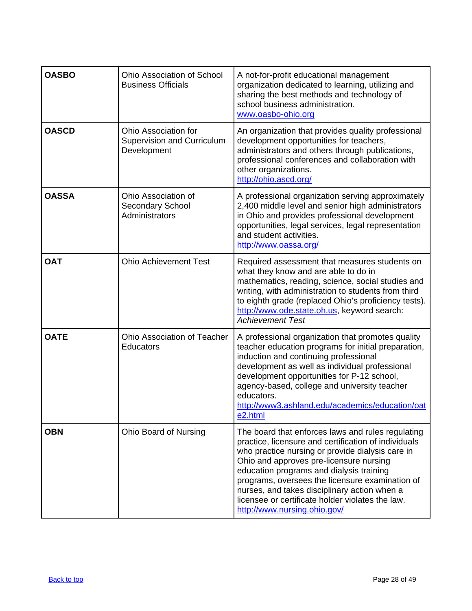| <b>OASBO</b> | <b>Ohio Association of School</b><br><b>Business Officials</b>           | A not-for-profit educational management<br>organization dedicated to learning, utilizing and<br>sharing the best methods and technology of<br>school business administration.<br>www.oasbo-ohio.org                                                                                                                                                                                                                                         |
|--------------|--------------------------------------------------------------------------|---------------------------------------------------------------------------------------------------------------------------------------------------------------------------------------------------------------------------------------------------------------------------------------------------------------------------------------------------------------------------------------------------------------------------------------------|
| <b>OASCD</b> | Ohio Association for<br><b>Supervision and Curriculum</b><br>Development | An organization that provides quality professional<br>development opportunities for teachers,<br>administrators and others through publications,<br>professional conferences and collaboration with<br>other organizations.<br>http://ohio.ascd.org/                                                                                                                                                                                        |
| <b>OASSA</b> | Ohio Association of<br>Secondary School<br>Administrators                | A professional organization serving approximately<br>2,400 middle level and senior high administrators<br>in Ohio and provides professional development<br>opportunities, legal services, legal representation<br>and student activities.<br>http://www.oassa.org/                                                                                                                                                                          |
| <b>OAT</b>   | <b>Ohio Achievement Test</b>                                             | Required assessment that measures students on<br>what they know and are able to do in<br>mathematics, reading, science, social studies and<br>writing, with administration to students from third<br>to eighth grade (replaced Ohio's proficiency tests).<br>http://www.ode.state.oh.us, keyword search:<br><b>Achievement Test</b>                                                                                                         |
| <b>OATE</b>  | Ohio Association of Teacher<br><b>Educators</b>                          | A professional organization that promotes quality<br>teacher education programs for initial preparation,<br>induction and continuing professional<br>development as well as individual professional<br>development opportunities for P-12 school,<br>agency-based, college and university teacher<br>educators.<br>http://www3.ashland.edu/academics/education/oat<br>e2.html                                                               |
| <b>OBN</b>   | <b>Ohio Board of Nursing</b>                                             | The board that enforces laws and rules regulating<br>practice, licensure and certification of individuals<br>who practice nursing or provide dialysis care in<br>Ohio and approves pre-licensure nursing<br>education programs and dialysis training<br>programs, oversees the licensure examination of<br>nurses, and takes disciplinary action when a<br>licensee or certificate holder violates the law.<br>http://www.nursing.ohio.gov/ |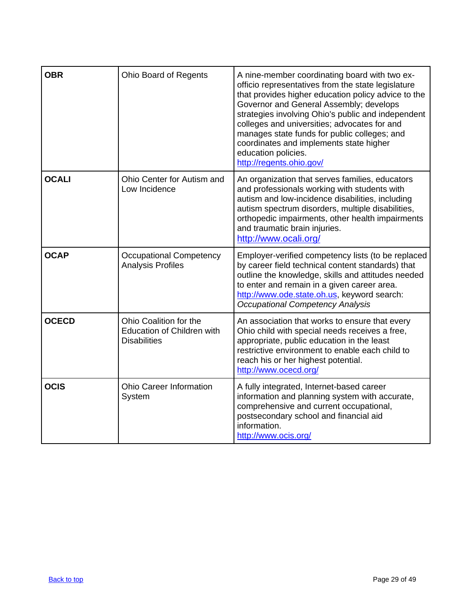| <b>OBR</b>   | <b>Ohio Board of Regents</b>                                                       | A nine-member coordinating board with two ex-<br>officio representatives from the state legislature<br>that provides higher education policy advice to the<br>Governor and General Assembly; develops<br>strategies involving Ohio's public and independent<br>colleges and universities; advocates for and<br>manages state funds for public colleges; and<br>coordinates and implements state higher<br>education policies.<br>http://regents.ohio.gov/ |
|--------------|------------------------------------------------------------------------------------|-----------------------------------------------------------------------------------------------------------------------------------------------------------------------------------------------------------------------------------------------------------------------------------------------------------------------------------------------------------------------------------------------------------------------------------------------------------|
| <b>OCALI</b> | Ohio Center for Autism and<br>Low Incidence                                        | An organization that serves families, educators<br>and professionals working with students with<br>autism and low-incidence disabilities, including<br>autism spectrum disorders, multiple disabilities,<br>orthopedic impairments, other health impairments<br>and traumatic brain injuries.<br>http://www.ocali.org/                                                                                                                                    |
| <b>OCAP</b>  | <b>Occupational Competency</b><br><b>Analysis Profiles</b>                         | Employer-verified competency lists (to be replaced<br>by career field technical content standards) that<br>outline the knowledge, skills and attitudes needed<br>to enter and remain in a given career area.<br>http://www.ode.state.oh.us, keyword search:<br><b>Occupational Competency Analysis</b>                                                                                                                                                    |
| <b>OCECD</b> | Ohio Coalition for the<br><b>Education of Children with</b><br><b>Disabilities</b> | An association that works to ensure that every<br>Ohio child with special needs receives a free,<br>appropriate, public education in the least<br>restrictive environment to enable each child to<br>reach his or her highest potential.<br>http://www.ocecd.org/                                                                                                                                                                                         |
| <b>OCIS</b>  | <b>Ohio Career Information</b><br>System                                           | A fully integrated, Internet-based career<br>information and planning system with accurate,<br>comprehensive and current occupational,<br>postsecondary school and financial aid<br>information.<br>http://www.ocis.org/                                                                                                                                                                                                                                  |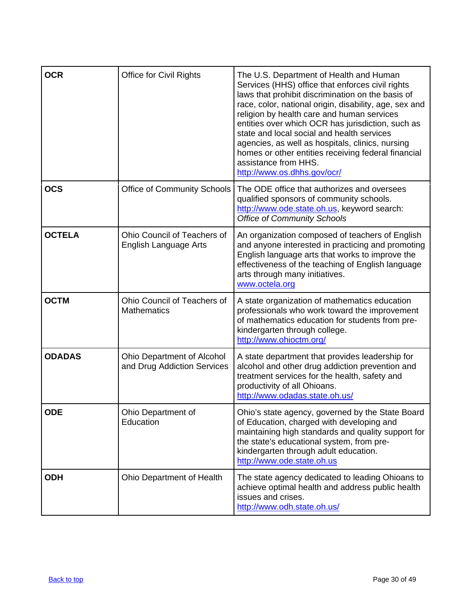| <b>OCR</b>    | <b>Office for Civil Rights</b>                              | The U.S. Department of Health and Human<br>Services (HHS) office that enforces civil rights<br>laws that prohibit discrimination on the basis of<br>race, color, national origin, disability, age, sex and<br>religion by health care and human services<br>entities over which OCR has jurisdiction, such as<br>state and local social and health services<br>agencies, as well as hospitals, clinics, nursing<br>homes or other entities receiving federal financial<br>assistance from HHS.<br>http://www.os.dhhs.gov/ocr/ |
|---------------|-------------------------------------------------------------|-------------------------------------------------------------------------------------------------------------------------------------------------------------------------------------------------------------------------------------------------------------------------------------------------------------------------------------------------------------------------------------------------------------------------------------------------------------------------------------------------------------------------------|
| <b>OCS</b>    | <b>Office of Community Schools</b>                          | The ODE office that authorizes and oversees<br>qualified sponsors of community schools.<br>http://www.ode.state.oh.us, keyword search:<br><b>Office of Community Schools</b>                                                                                                                                                                                                                                                                                                                                                  |
| <b>OCTELA</b> | Ohio Council of Teachers of<br><b>English Language Arts</b> | An organization composed of teachers of English<br>and anyone interested in practicing and promoting<br>English language arts that works to improve the<br>effectiveness of the teaching of English language<br>arts through many initiatives.<br>www.octela.org                                                                                                                                                                                                                                                              |
| <b>OCTM</b>   | Ohio Council of Teachers of<br><b>Mathematics</b>           | A state organization of mathematics education<br>professionals who work toward the improvement<br>of mathematics education for students from pre-<br>kindergarten through college.<br>http://www.ohioctm.org/                                                                                                                                                                                                                                                                                                                 |
| <b>ODADAS</b> | Ohio Department of Alcohol<br>and Drug Addiction Services   | A state department that provides leadership for<br>alcohol and other drug addiction prevention and<br>treatment services for the health, safety and<br>productivity of all Ohioans.<br>http://www.odadas.state.oh.us/                                                                                                                                                                                                                                                                                                         |
| <b>ODE</b>    | Ohio Department of<br>Education                             | Ohio's state agency, governed by the State Board<br>of Education, charged with developing and<br>maintaining high standards and quality support for<br>the state's educational system, from pre-<br>kindergarten through adult education.<br>http://www.ode.state.oh.us                                                                                                                                                                                                                                                       |
| <b>ODH</b>    | Ohio Department of Health                                   | The state agency dedicated to leading Ohioans to<br>achieve optimal health and address public health<br>issues and crises.<br>http://www.odh.state.oh.us/                                                                                                                                                                                                                                                                                                                                                                     |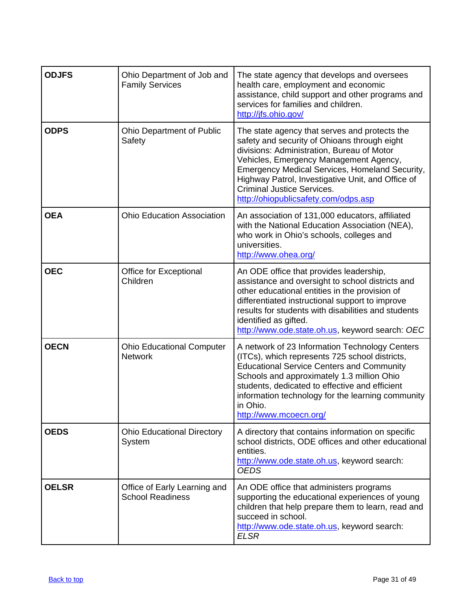| <b>ODJFS</b> | Ohio Department of Job and<br><b>Family Services</b>    | The state agency that develops and oversees<br>health care, employment and economic<br>assistance, child support and other programs and<br>services for families and children.<br>http://ifs.ohio.gov/                                                                                                                                                                    |
|--------------|---------------------------------------------------------|---------------------------------------------------------------------------------------------------------------------------------------------------------------------------------------------------------------------------------------------------------------------------------------------------------------------------------------------------------------------------|
| <b>ODPS</b>  | <b>Ohio Department of Public</b><br>Safety              | The state agency that serves and protects the<br>safety and security of Ohioans through eight<br>divisions: Administration, Bureau of Motor<br>Vehicles, Emergency Management Agency,<br>Emergency Medical Services, Homeland Security,<br>Highway Patrol, Investigative Unit, and Office of<br><b>Criminal Justice Services.</b><br>http://ohiopublicsafety.com/odps.asp |
| <b>OEA</b>   | <b>Ohio Education Association</b>                       | An association of 131,000 educators, affiliated<br>with the National Education Association (NEA),<br>who work in Ohio's schools, colleges and<br>universities.<br>http://www.ohea.org/                                                                                                                                                                                    |
| <b>OEC</b>   | Office for Exceptional<br>Children                      | An ODE office that provides leadership,<br>assistance and oversight to school districts and<br>other educational entities in the provision of<br>differentiated instructional support to improve<br>results for students with disabilities and students<br>identified as gifted.<br>http://www.ode.state.oh.us, keyword search: OEC                                       |
| <b>OECN</b>  | <b>Ohio Educational Computer</b><br><b>Network</b>      | A network of 23 Information Technology Centers<br>(ITCs), which represents 725 school districts,<br><b>Educational Service Centers and Community</b><br>Schools and approximately 1.3 million Ohio<br>students, dedicated to effective and efficient<br>information technology for the learning community<br>in Ohio.<br>http://www.mcoecn.org/                           |
| <b>OEDS</b>  | <b>Ohio Educational Directory</b><br>System             | A directory that contains information on specific<br>school districts, ODE offices and other educational<br>entities.<br>http://www.ode.state.oh.us, keyword search:<br><b>OEDS</b>                                                                                                                                                                                       |
| <b>OELSR</b> | Office of Early Learning and<br><b>School Readiness</b> | An ODE office that administers programs<br>supporting the educational experiences of young<br>children that help prepare them to learn, read and<br>succeed in school.<br>http://www.ode.state.oh.us, keyword search:<br><b>ELSR</b>                                                                                                                                      |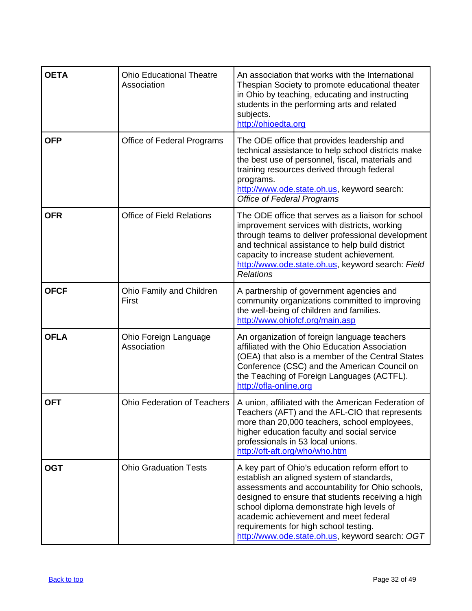| <b>OETA</b> | <b>Ohio Educational Theatre</b><br>Association | An association that works with the International<br>Thespian Society to promote educational theater<br>in Ohio by teaching, educating and instructing<br>students in the performing arts and related<br>subjects.<br>http://ohioedta.org                                                                                                                                                |
|-------------|------------------------------------------------|-----------------------------------------------------------------------------------------------------------------------------------------------------------------------------------------------------------------------------------------------------------------------------------------------------------------------------------------------------------------------------------------|
| <b>OFP</b>  | Office of Federal Programs                     | The ODE office that provides leadership and<br>technical assistance to help school districts make<br>the best use of personnel, fiscal, materials and<br>training resources derived through federal<br>programs.<br>http://www.ode.state.oh.us, keyword search:<br><b>Office of Federal Programs</b>                                                                                    |
| <b>OFR</b>  | <b>Office of Field Relations</b>               | The ODE office that serves as a liaison for school<br>improvement services with districts, working<br>through teams to deliver professional development<br>and technical assistance to help build district<br>capacity to increase student achievement.<br>http://www.ode.state.oh.us, keyword search: Field<br><b>Relations</b>                                                        |
| <b>OFCF</b> | Ohio Family and Children<br>First              | A partnership of government agencies and<br>community organizations committed to improving<br>the well-being of children and families.<br>http://www.ohiofcf.org/main.asp                                                                                                                                                                                                               |
| <b>OFLA</b> | Ohio Foreign Language<br>Association           | An organization of foreign language teachers<br>affiliated with the Ohio Education Association<br>(OEA) that also is a member of the Central States<br>Conference (CSC) and the American Council on<br>the Teaching of Foreign Languages (ACTFL).<br>http://ofla-online.org                                                                                                             |
| <b>OFT</b>  | <b>Ohio Federation of Teachers</b>             | A union, affiliated with the American Federation of<br>Teachers (AFT) and the AFL-CIO that represents<br>more than 20,000 teachers, school employees,<br>higher education faculty and social service<br>professionals in 53 local unions.<br>http://oft-aft.org/who/who.htm                                                                                                             |
| <b>OGT</b>  | <b>Ohio Graduation Tests</b>                   | A key part of Ohio's education reform effort to<br>establish an aligned system of standards,<br>assessments and accountability for Ohio schools,<br>designed to ensure that students receiving a high<br>school diploma demonstrate high levels of<br>academic achievement and meet federal<br>requirements for high school testing.<br>http://www.ode.state.oh.us, keyword search: OGT |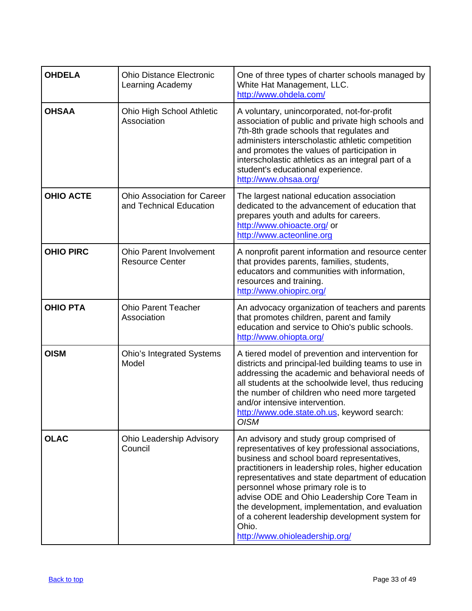| <b>OHDELA</b>    | <b>Ohio Distance Electronic</b><br>Learning Academy           | One of three types of charter schools managed by<br>White Hat Management, LLC.<br>http://www.ohdela.com/                                                                                                                                                                                                                                                                                                                                                                                      |
|------------------|---------------------------------------------------------------|-----------------------------------------------------------------------------------------------------------------------------------------------------------------------------------------------------------------------------------------------------------------------------------------------------------------------------------------------------------------------------------------------------------------------------------------------------------------------------------------------|
| <b>OHSAA</b>     | <b>Ohio High School Athletic</b><br>Association               | A voluntary, unincorporated, not-for-profit<br>association of public and private high schools and<br>7th-8th grade schools that regulates and<br>administers interscholastic athletic competition<br>and promotes the values of participation in<br>interscholastic athletics as an integral part of a<br>student's educational experience.<br>http://www.ohsaa.org/                                                                                                                          |
| <b>OHIO ACTE</b> | <b>Ohio Association for Career</b><br>and Technical Education | The largest national education association<br>dedicated to the advancement of education that<br>prepares youth and adults for careers.<br>http://www.ohioacte.org/ or<br>http://www.acteonline.org                                                                                                                                                                                                                                                                                            |
| <b>OHIO PIRC</b> | <b>Ohio Parent Involvement</b><br><b>Resource Center</b>      | A nonprofit parent information and resource center<br>that provides parents, families, students,<br>educators and communities with information,<br>resources and training.<br>http://www.ohiopirc.org/                                                                                                                                                                                                                                                                                        |
| <b>OHIO PTA</b>  | <b>Ohio Parent Teacher</b><br>Association                     | An advocacy organization of teachers and parents<br>that promotes children, parent and family<br>education and service to Ohio's public schools.<br>http://www.ohiopta.org/                                                                                                                                                                                                                                                                                                                   |
| <b>OISM</b>      | <b>Ohio's Integrated Systems</b><br>Model                     | A tiered model of prevention and intervention for<br>districts and principal-led building teams to use in<br>addressing the academic and behavioral needs of<br>all students at the schoolwide level, thus reducing<br>the number of children who need more targeted<br>and/or intensive intervention.<br>http://www.ode.state.oh.us, keyword search:<br><b>OISM</b>                                                                                                                          |
| <b>OLAC</b>      | <b>Ohio Leadership Advisory</b><br>Council                    | An advisory and study group comprised of<br>representatives of key professional associations,<br>business and school board representatives,<br>practitioners in leadership roles, higher education<br>representatives and state department of education<br>personnel whose primary role is to<br>advise ODE and Ohio Leadership Core Team in<br>the development, implementation, and evaluation<br>of a coherent leadership development system for<br>Ohio.<br>http://www.ohioleadership.org/ |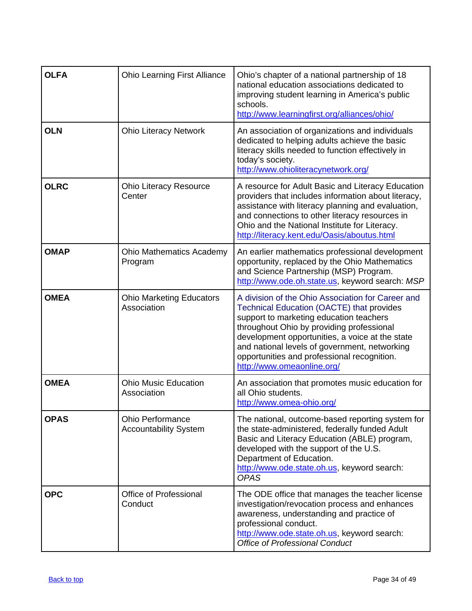| <b>OLFA</b> | <b>Ohio Learning First Alliance</b>                     | Ohio's chapter of a national partnership of 18<br>national education associations dedicated to<br>improving student learning in America's public<br>schools.<br>http://www.learningfirst.org/alliances/ohio/                                                                                                                                                                   |
|-------------|---------------------------------------------------------|--------------------------------------------------------------------------------------------------------------------------------------------------------------------------------------------------------------------------------------------------------------------------------------------------------------------------------------------------------------------------------|
| <b>OLN</b>  | <b>Ohio Literacy Network</b>                            | An association of organizations and individuals<br>dedicated to helping adults achieve the basic<br>literacy skills needed to function effectively in<br>today's society.<br>http://www.ohioliteracynetwork.org/                                                                                                                                                               |
| <b>OLRC</b> | <b>Ohio Literacy Resource</b><br>Center                 | A resource for Adult Basic and Literacy Education<br>providers that includes information about literacy,<br>assistance with literacy planning and evaluation,<br>and connections to other literacy resources in<br>Ohio and the National Institute for Literacy.<br>http://literacy.kent.edu/Oasis/aboutus.html                                                                |
| <b>OMAP</b> | <b>Ohio Mathematics Academy</b><br>Program              | An earlier mathematics professional development<br>opportunity, replaced by the Ohio Mathematics<br>and Science Partnership (MSP) Program.<br>http://www.ode.oh.state.us, keyword search: MSP                                                                                                                                                                                  |
| <b>OMEA</b> | <b>Ohio Marketing Educators</b><br>Association          | A division of the Ohio Association for Career and<br><b>Technical Education (OACTE) that provides</b><br>support to marketing education teachers<br>throughout Ohio by providing professional<br>development opportunities, a voice at the state<br>and national levels of government, networking<br>opportunities and professional recognition.<br>http://www.omeaonline.org/ |
| <b>OMEA</b> | <b>Ohio Music Education</b><br>Association              | An association that promotes music education for<br>all Ohio students.<br>http://www.omea-ohio.org/                                                                                                                                                                                                                                                                            |
| <b>OPAS</b> | <b>Ohio Performance</b><br><b>Accountability System</b> | The national, outcome-based reporting system for<br>the state-administered, federally funded Adult<br>Basic and Literacy Education (ABLE) program,<br>developed with the support of the U.S.<br>Department of Education.<br>http://www.ode.state.oh.us, keyword search:<br><b>OPAS</b>                                                                                         |
| <b>OPC</b>  | <b>Office of Professional</b><br>Conduct                | The ODE office that manages the teacher license<br>investigation/revocation process and enhances<br>awareness, understanding and practice of<br>professional conduct.<br>http://www.ode.state.oh.us, keyword search:<br><b>Office of Professional Conduct</b>                                                                                                                  |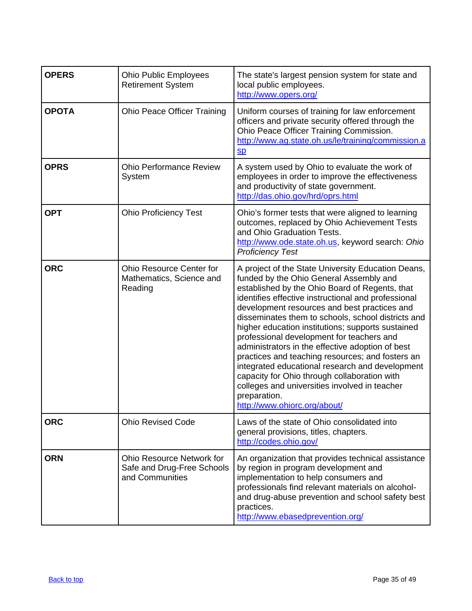| <b>OPERS</b> | <b>Ohio Public Employees</b><br><b>Retirement System</b>                          | The state's largest pension system for state and<br>local public employees.<br>http://www.opers.org/                                                                                                                                                                                                                                                                                                                                                                                                                                                                                                                                                                                                                       |
|--------------|-----------------------------------------------------------------------------------|----------------------------------------------------------------------------------------------------------------------------------------------------------------------------------------------------------------------------------------------------------------------------------------------------------------------------------------------------------------------------------------------------------------------------------------------------------------------------------------------------------------------------------------------------------------------------------------------------------------------------------------------------------------------------------------------------------------------------|
| <b>OPOTA</b> | <b>Ohio Peace Officer Training</b>                                                | Uniform courses of training for law enforcement<br>officers and private security offered through the<br>Ohio Peace Officer Training Commission.<br>http://www.ag.state.oh.us/le/training/commission.a<br>$S_{p}$                                                                                                                                                                                                                                                                                                                                                                                                                                                                                                           |
| <b>OPRS</b>  | <b>Ohio Performance Review</b><br>System                                          | A system used by Ohio to evaluate the work of<br>employees in order to improve the effectiveness<br>and productivity of state government.<br>http://das.ohio.gov/hrd/oprs.html                                                                                                                                                                                                                                                                                                                                                                                                                                                                                                                                             |
| <b>OPT</b>   | <b>Ohio Proficiency Test</b>                                                      | Ohio's former tests that were aligned to learning<br>outcomes, replaced by Ohio Achievement Tests<br>and Ohio Graduation Tests.<br>http://www.ode.state.oh.us, keyword search: Ohio<br><b>Proficiency Test</b>                                                                                                                                                                                                                                                                                                                                                                                                                                                                                                             |
| <b>ORC</b>   | <b>Ohio Resource Center for</b><br>Mathematics, Science and<br>Reading            | A project of the State University Education Deans,<br>funded by the Ohio General Assembly and<br>established by the Ohio Board of Regents, that<br>identifies effective instructional and professional<br>development resources and best practices and<br>disseminates them to schools, school districts and<br>higher education institutions; supports sustained<br>professional development for teachers and<br>administrators in the effective adoption of best<br>practices and teaching resources; and fosters an<br>integrated educational research and development<br>capacity for Ohio through collaboration with<br>colleges and universities involved in teacher<br>preparation.<br>http://www.ohiorc.org/about/ |
| <b>ORC</b>   | <b>Ohio Revised Code</b>                                                          | Laws of the state of Ohio consolidated into<br>general provisions, titles, chapters.<br>http://codes.ohio.gov/                                                                                                                                                                                                                                                                                                                                                                                                                                                                                                                                                                                                             |
| <b>ORN</b>   | <b>Ohio Resource Network for</b><br>Safe and Drug-Free Schools<br>and Communities | An organization that provides technical assistance<br>by region in program development and<br>implementation to help consumers and<br>professionals find relevant materials on alcohol-<br>and drug-abuse prevention and school safety best<br>practices.<br>http://www.ebasedprevention.org/                                                                                                                                                                                                                                                                                                                                                                                                                              |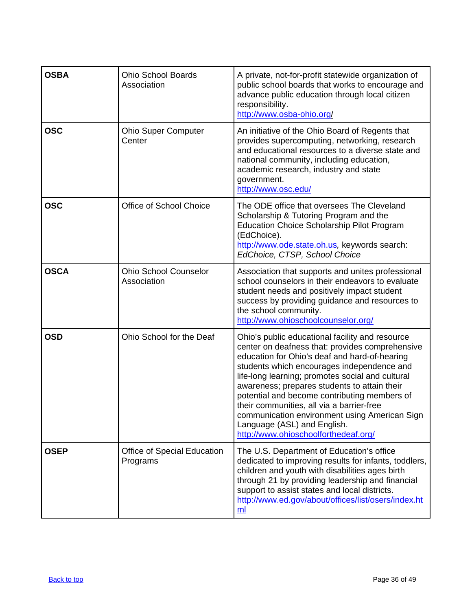| <b>OSBA</b> | <b>Ohio School Boards</b><br>Association    | A private, not-for-profit statewide organization of<br>public school boards that works to encourage and<br>advance public education through local citizen<br>responsibility.<br>http://www.osba-ohio.org/                                                                                                                                                                                                                                                                                                                  |
|-------------|---------------------------------------------|----------------------------------------------------------------------------------------------------------------------------------------------------------------------------------------------------------------------------------------------------------------------------------------------------------------------------------------------------------------------------------------------------------------------------------------------------------------------------------------------------------------------------|
| <b>OSC</b>  | <b>Ohio Super Computer</b><br>Center        | An initiative of the Ohio Board of Regents that<br>provides supercomputing, networking, research<br>and educational resources to a diverse state and<br>national community, including education,<br>academic research, industry and state<br>government.<br>http://www.osc.edu/                                                                                                                                                                                                                                            |
| <b>OSC</b>  | Office of School Choice                     | The ODE office that oversees The Cleveland<br>Scholarship & Tutoring Program and the<br><b>Education Choice Scholarship Pilot Program</b><br>(EdChoice).<br>http://www.ode.state.oh.us, keywords search:<br>EdChoice, CTSP, School Choice                                                                                                                                                                                                                                                                                  |
| <b>OSCA</b> | <b>Ohio School Counselor</b><br>Association | Association that supports and unites professional<br>school counselors in their endeavors to evaluate<br>student needs and positively impact student<br>success by providing guidance and resources to<br>the school community.<br>http://www.ohioschoolcounselor.org/                                                                                                                                                                                                                                                     |
| <b>OSD</b>  | Ohio School for the Deaf                    | Ohio's public educational facility and resource<br>center on deafness that: provides comprehensive<br>education for Ohio's deaf and hard-of-hearing<br>students which encourages independence and<br>life-long learning; promotes social and cultural<br>awareness; prepares students to attain their<br>potential and become contributing members of<br>their communities, all via a barrier-free<br>communication environment using American Sign<br>Language (ASL) and English.<br>http://www.ohioschoolforthedeaf.org/ |
| <b>OSEP</b> | Office of Special Education<br>Programs     | The U.S. Department of Education's office<br>dedicated to improving results for infants, toddlers,<br>children and youth with disabilities ages birth<br>through 21 by providing leadership and financial<br>support to assist states and local districts.<br>http://www.ed.gov/about/offices/list/osers/index.ht<br>m                                                                                                                                                                                                     |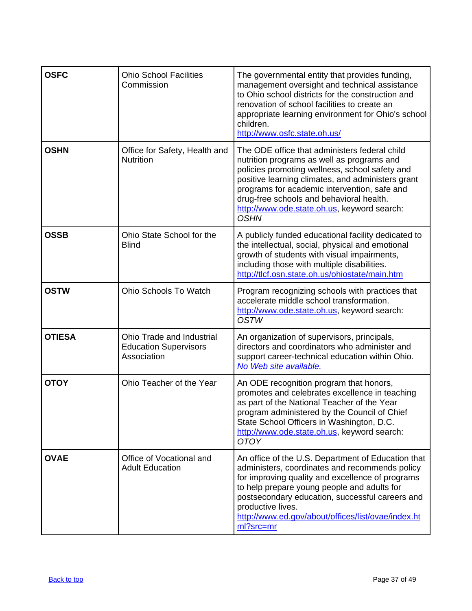| <b>OSFC</b>   | <b>Ohio School Facilities</b><br>Commission                              | The governmental entity that provides funding,<br>management oversight and technical assistance<br>to Ohio school districts for the construction and<br>renovation of school facilities to create an<br>appropriate learning environment for Ohio's school<br>children.<br>http://www.osfc.state.oh.us/                                                      |
|---------------|--------------------------------------------------------------------------|--------------------------------------------------------------------------------------------------------------------------------------------------------------------------------------------------------------------------------------------------------------------------------------------------------------------------------------------------------------|
| <b>OSHN</b>   | Office for Safety, Health and<br><b>Nutrition</b>                        | The ODE office that administers federal child<br>nutrition programs as well as programs and<br>policies promoting wellness, school safety and<br>positive learning climates, and administers grant<br>programs for academic intervention, safe and<br>drug-free schools and behavioral health.<br>http://www.ode.state.oh.us, keyword search:<br><b>OSHN</b> |
| <b>OSSB</b>   | Ohio State School for the<br><b>Blind</b>                                | A publicly funded educational facility dedicated to<br>the intellectual, social, physical and emotional<br>growth of students with visual impairments,<br>including those with multiple disabilities.<br>http://tlcf.osn.state.oh.us/ohiostate/main.htm                                                                                                      |
| <b>OSTW</b>   | Ohio Schools To Watch                                                    | Program recognizing schools with practices that<br>accelerate middle school transformation.<br>http://www.ode.state.oh.us, keyword search:<br><b>OSTW</b>                                                                                                                                                                                                    |
| <b>OTIESA</b> | Ohio Trade and Industrial<br><b>Education Supervisors</b><br>Association | An organization of supervisors, principals,<br>directors and coordinators who administer and<br>support career-technical education within Ohio.<br>No Web site available.                                                                                                                                                                                    |
| <b>OTOY</b>   | Ohio Teacher of the Year                                                 | An ODE recognition program that honors,<br>promotes and celebrates excellence in teaching<br>as part of the National Teacher of the Year<br>program administered by the Council of Chief<br>State School Officers in Washington, D.C.<br>http://www.ode.state.oh.us, keyword search:<br><b>OTOY</b>                                                          |
| <b>OVAE</b>   | Office of Vocational and<br><b>Adult Education</b>                       | An office of the U.S. Department of Education that<br>administers, coordinates and recommends policy<br>for improving quality and excellence of programs<br>to help prepare young people and adults for<br>postsecondary education, successful careers and<br>productive lives.<br>http://www.ed.gov/about/offices/list/ovae/index.ht<br>ml?src=mr           |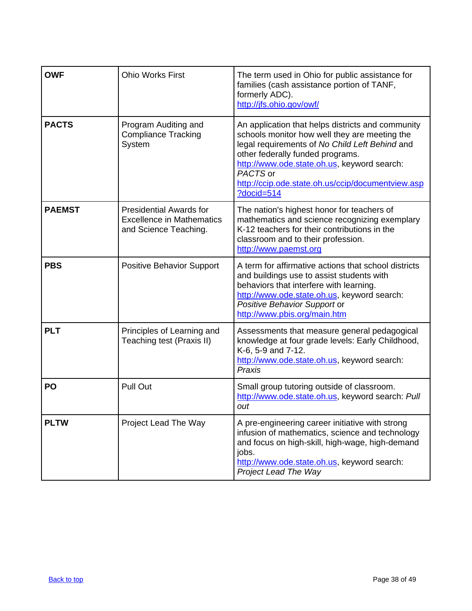<span id="page-37-0"></span>

| <b>OWF</b>    | <b>Ohio Works First</b>                                                                     | The term used in Ohio for public assistance for<br>families (cash assistance portion of TANF,<br>formerly ADC).<br>http://jfs.ohio.gov/owf/                                                                                                                                                                                |
|---------------|---------------------------------------------------------------------------------------------|----------------------------------------------------------------------------------------------------------------------------------------------------------------------------------------------------------------------------------------------------------------------------------------------------------------------------|
| <b>PACTS</b>  | Program Auditing and<br><b>Compliance Tracking</b><br>System                                | An application that helps districts and community<br>schools monitor how well they are meeting the<br>legal requirements of No Child Left Behind and<br>other federally funded programs.<br>http://www.ode.state.oh.us, keyword search:<br>PACTS or<br>http://ccip.ode.state.oh.us/ccip/documentview.asp<br>$?docid = 514$ |
| <b>PAEMST</b> | <b>Presidential Awards for</b><br><b>Excellence in Mathematics</b><br>and Science Teaching. | The nation's highest honor for teachers of<br>mathematics and science recognizing exemplary<br>K-12 teachers for their contributions in the<br>classroom and to their profession.<br>http://www.paemst.org                                                                                                                 |
| <b>PBS</b>    | <b>Positive Behavior Support</b>                                                            | A term for affirmative actions that school districts<br>and buildings use to assist students with<br>behaviors that interfere with learning.<br>http://www.ode.state.oh.us, keyword search:<br>Positive Behavior Support or<br>http://www.pbis.org/main.htm                                                                |
| <b>PLT</b>    | Principles of Learning and<br>Teaching test (Praxis II)                                     | Assessments that measure general pedagogical<br>knowledge at four grade levels: Early Childhood,<br>K-6, 5-9 and 7-12.<br>http://www.ode.state.oh.us, keyword search:<br>Praxis                                                                                                                                            |
| PO            | <b>Pull Out</b>                                                                             | Small group tutoring outside of classroom.<br>http://www.ode.state.oh.us, keyword search: Pull<br>out                                                                                                                                                                                                                      |
| <b>PLTW</b>   | Project Lead The Way                                                                        | A pre-engineering career initiative with strong<br>infusion of mathematics, science and technology<br>and focus on high-skill, high-wage, high-demand<br>jobs.<br>http://www.ode.state.oh.us, keyword search:<br><b>Project Lead The Way</b>                                                                               |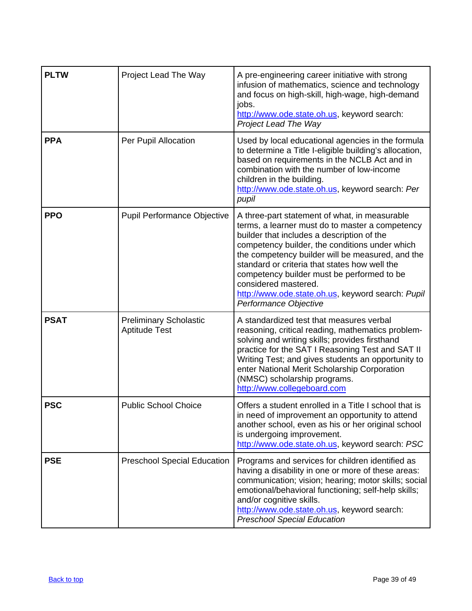| <b>PLTW</b> | Project Lead The Way                                  | A pre-engineering career initiative with strong<br>infusion of mathematics, science and technology<br>and focus on high-skill, high-wage, high-demand<br>jobs.<br>http://www.ode.state.oh.us, keyword search:<br>Project Lead The Way                                                                                                                                                                                                                     |
|-------------|-------------------------------------------------------|-----------------------------------------------------------------------------------------------------------------------------------------------------------------------------------------------------------------------------------------------------------------------------------------------------------------------------------------------------------------------------------------------------------------------------------------------------------|
| <b>PPA</b>  | Per Pupil Allocation                                  | Used by local educational agencies in the formula<br>to determine a Title I-eligible building's allocation,<br>based on requirements in the NCLB Act and in<br>combination with the number of low-income<br>children in the building.<br>http://www.ode.state.oh.us, keyword search: Per<br>pupil                                                                                                                                                         |
| <b>PPO</b>  | <b>Pupil Performance Objective</b>                    | A three-part statement of what, in measurable<br>terms, a learner must do to master a competency<br>builder that includes a description of the<br>competency builder, the conditions under which<br>the competency builder will be measured, and the<br>standard or criteria that states how well the<br>competency builder must be performed to be<br>considered mastered.<br>http://www.ode.state.oh.us, keyword search: Pupil<br>Performance Objective |
| <b>PSAT</b> | <b>Preliminary Scholastic</b><br><b>Aptitude Test</b> | A standardized test that measures verbal<br>reasoning, critical reading, mathematics problem-<br>solving and writing skills; provides firsthand<br>practice for the SAT I Reasoning Test and SAT II<br>Writing Test; and gives students an opportunity to<br>enter National Merit Scholarship Corporation<br>(NMSC) scholarship programs.<br>http://www.collegeboard.com                                                                                  |
| <b>PSC</b>  | <b>Public School Choice</b>                           | Offers a student enrolled in a Title I school that is<br>in need of improvement an opportunity to attend<br>another school, even as his or her original school<br>is undergoing improvement.<br>http://www.ode.state.oh.us, keyword search: PSC                                                                                                                                                                                                           |
| <b>PSE</b>  | <b>Preschool Special Education</b>                    | Programs and services for children identified as<br>having a disability in one or more of these areas:<br>communication; vision; hearing; motor skills; social<br>emotional/behavioral functioning; self-help skills;<br>and/or cognitive skills.<br>http://www.ode.state.oh.us, keyword search:<br><b>Preschool Special Education</b>                                                                                                                    |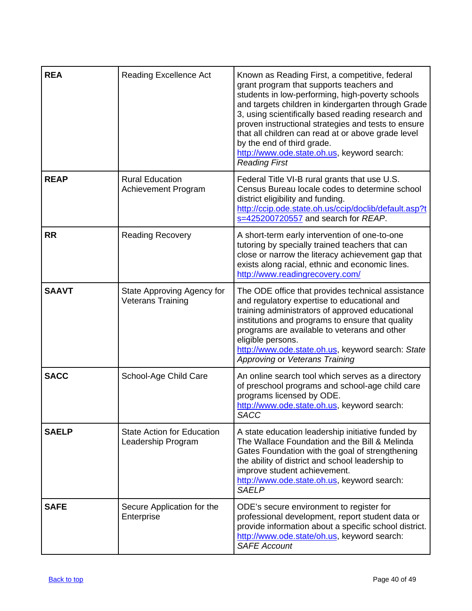<span id="page-39-0"></span>

| <b>REA</b>   | <b>Reading Excellence Act</b>                           | Known as Reading First, a competitive, federal<br>grant program that supports teachers and<br>students in low-performing, high-poverty schools<br>and targets children in kindergarten through Grade<br>3, using scientifically based reading research and<br>proven instructional strategies and tests to ensure<br>that all children can read at or above grade level<br>by the end of third grade.<br>http://www.ode.state.oh.us, keyword search:<br><b>Reading First</b> |
|--------------|---------------------------------------------------------|------------------------------------------------------------------------------------------------------------------------------------------------------------------------------------------------------------------------------------------------------------------------------------------------------------------------------------------------------------------------------------------------------------------------------------------------------------------------------|
| <b>REAP</b>  | <b>Rural Education</b><br>Achievement Program           | Federal Title VI-B rural grants that use U.S.<br>Census Bureau locale codes to determine school<br>district eligibility and funding.<br>http://ccip.ode.state.oh.us/ccip/doclib/default.asp?t<br>s=425200720557 and search for REAP.                                                                                                                                                                                                                                         |
| <b>RR</b>    | <b>Reading Recovery</b>                                 | A short-term early intervention of one-to-one<br>tutoring by specially trained teachers that can<br>close or narrow the literacy achievement gap that<br>exists along racial, ethnic and economic lines.<br>http://www.readingrecovery.com/                                                                                                                                                                                                                                  |
| <b>SAAVT</b> | State Approving Agency for<br><b>Veterans Training</b>  | The ODE office that provides technical assistance<br>and regulatory expertise to educational and<br>training administrators of approved educational<br>institutions and programs to ensure that quality<br>programs are available to veterans and other<br>eligible persons.<br>http://www.ode.state.oh.us, keyword search: State<br>Approving or Veterans Training                                                                                                          |
| <b>SACC</b>  | School-Age Child Care                                   | An online search tool which serves as a directory<br>of preschool programs and school-age child care<br>programs licensed by ODE.<br>http://www.ode.state.oh.us, keyword search:<br><b>SACC</b>                                                                                                                                                                                                                                                                              |
| <b>SAELP</b> | <b>State Action for Education</b><br>Leadership Program | A state education leadership initiative funded by<br>The Wallace Foundation and the Bill & Melinda<br>Gates Foundation with the goal of strengthening<br>the ability of district and school leadership to<br>improve student achievement.<br>http://www.ode.state.oh.us, keyword search:<br><b>SAELP</b>                                                                                                                                                                     |
| <b>SAFE</b>  | Secure Application for the<br>Enterprise                | ODE's secure environment to register for<br>professional development, report student data or<br>provide information about a specific school district.<br>http://www.ode.state/oh.us, keyword search:<br><b>SAFE Account</b>                                                                                                                                                                                                                                                  |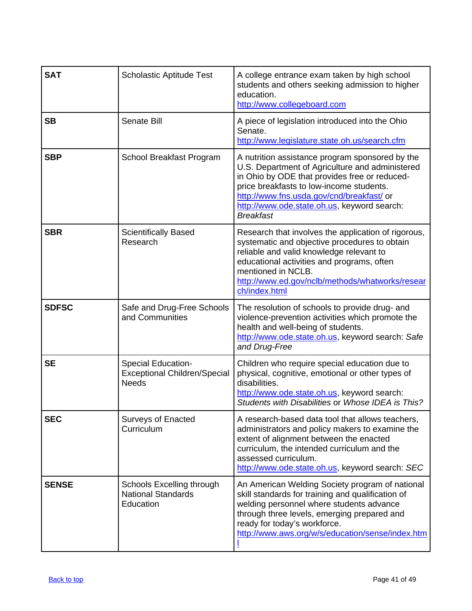| <b>SAT</b>   | <b>Scholastic Aptitude Test</b>                                           | A college entrance exam taken by high school<br>students and others seeking admission to higher<br>education.<br>http://www.collegeboard.com                                                                                                                                                                    |
|--------------|---------------------------------------------------------------------------|-----------------------------------------------------------------------------------------------------------------------------------------------------------------------------------------------------------------------------------------------------------------------------------------------------------------|
| <b>SB</b>    | <b>Senate Bill</b>                                                        | A piece of legislation introduced into the Ohio<br>Senate.<br>http://www.legislature.state.oh.us/search.cfm                                                                                                                                                                                                     |
| <b>SBP</b>   | School Breakfast Program                                                  | A nutrition assistance program sponsored by the<br>U.S. Department of Agriculture and administered<br>in Ohio by ODE that provides free or reduced-<br>price breakfasts to low-income students.<br>http://www.fns.usda.gov/cnd/breakfast/ or<br>http://www.ode.state.oh.us, keyword search:<br><b>Breakfast</b> |
| <b>SBR</b>   | <b>Scientifically Based</b><br>Research                                   | Research that involves the application of rigorous,<br>systematic and objective procedures to obtain<br>reliable and valid knowledge relevant to<br>educational activities and programs, often<br>mentioned in NCLB.<br>http://www.ed.gov/nclb/methods/whatworks/resear<br>ch/index.html                        |
| <b>SDFSC</b> | Safe and Drug-Free Schools<br>and Communities                             | The resolution of schools to provide drug- and<br>violence-prevention activities which promote the<br>health and well-being of students.<br>http://www.ode.state.oh.us, keyword search: Safe<br>and Drug-Free                                                                                                   |
| <b>SE</b>    | Special Education-<br><b>Exceptional Children/Special</b><br><b>Needs</b> | Children who require special education due to<br>physical, cognitive, emotional or other types of<br>disabilities.<br>http://www.ode.state.oh.us, keyword search:<br>Students with Disabilities or Whose IDEA is This?                                                                                          |
| <b>SEC</b>   | <b>Surveys of Enacted</b><br>Curriculum                                   | A research-based data tool that allows teachers,<br>administrators and policy makers to examine the<br>extent of alignment between the enacted<br>curriculum, the intended curriculum and the<br>assessed curriculum.<br>http://www.ode.state.oh.us, keyword search: SEC                                        |
| <b>SENSE</b> | Schools Excelling through<br><b>National Standards</b><br>Education       | An American Welding Society program of national<br>skill standards for training and qualification of<br>welding personnel where students advance<br>through three levels, emerging prepared and<br>ready for today's workforce.<br>http://www.aws.org/w/s/education/sense/index.htm                             |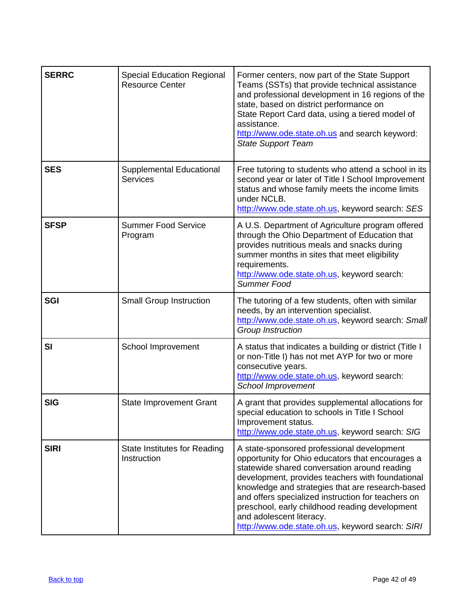| <b>SERRC</b> | <b>Special Education Regional</b><br><b>Resource Center</b> | Former centers, now part of the State Support<br>Teams (SSTs) that provide technical assistance<br>and professional development in 16 regions of the<br>state, based on district performance on<br>State Report Card data, using a tiered model of<br>assistance.<br>http://www.ode.state.oh.us and search keyword:<br><b>State Support Team</b>                                                                                               |
|--------------|-------------------------------------------------------------|------------------------------------------------------------------------------------------------------------------------------------------------------------------------------------------------------------------------------------------------------------------------------------------------------------------------------------------------------------------------------------------------------------------------------------------------|
| <b>SES</b>   | Supplemental Educational<br><b>Services</b>                 | Free tutoring to students who attend a school in its<br>second year or later of Title I School Improvement<br>status and whose family meets the income limits<br>under NCLB.<br>http://www.ode.state.oh.us, keyword search: SES                                                                                                                                                                                                                |
| <b>SFSP</b>  | <b>Summer Food Service</b><br>Program                       | A U.S. Department of Agriculture program offered<br>through the Ohio Department of Education that<br>provides nutritious meals and snacks during<br>summer months in sites that meet eligibility<br>requirements.<br>http://www.ode.state.oh.us, keyword search:<br>Summer Food                                                                                                                                                                |
| <b>SGI</b>   | <b>Small Group Instruction</b>                              | The tutoring of a few students, often with similar<br>needs, by an intervention specialist.<br>http://www.ode.state.oh.us, keyword search: Small<br>Group Instruction                                                                                                                                                                                                                                                                          |
| SI           | School Improvement                                          | A status that indicates a building or district (Title I<br>or non-Title I) has not met AYP for two or more<br>consecutive years.<br>http://www.ode.state.oh.us, keyword search:<br><b>School Improvement</b>                                                                                                                                                                                                                                   |
| <b>SIG</b>   | <b>State Improvement Grant</b>                              | A grant that provides supplemental allocations for<br>special education to schools in Title I School<br>Improvement status.<br>http://www.ode.state.oh.us, keyword search: SIG                                                                                                                                                                                                                                                                 |
| <b>SIRI</b>  | State Institutes for Reading<br>Instruction                 | A state-sponsored professional development<br>opportunity for Ohio educators that encourages a<br>statewide shared conversation around reading<br>development, provides teachers with foundational<br>knowledge and strategies that are research-based<br>and offers specialized instruction for teachers on<br>preschool, early childhood reading development<br>and adolescent literacy.<br>http://www.ode.state.oh.us, keyword search: SIRI |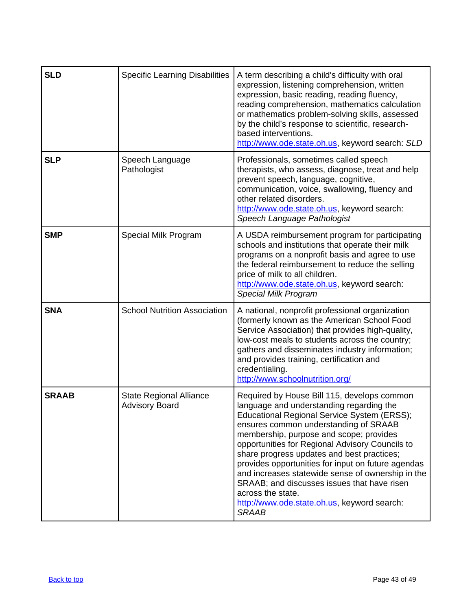| <b>SLD</b>   | <b>Specific Learning Disabilities</b>                   | A term describing a child's difficulty with oral<br>expression, listening comprehension, written<br>expression, basic reading, reading fluency,<br>reading comprehension, mathematics calculation<br>or mathematics problem-solving skills, assessed<br>by the child's response to scientific, research-<br>based interventions.<br>http://www.ode.state.oh.us, keyword search: SLD                                                                                                                                                                                       |
|--------------|---------------------------------------------------------|---------------------------------------------------------------------------------------------------------------------------------------------------------------------------------------------------------------------------------------------------------------------------------------------------------------------------------------------------------------------------------------------------------------------------------------------------------------------------------------------------------------------------------------------------------------------------|
| <b>SLP</b>   | Speech Language<br>Pathologist                          | Professionals, sometimes called speech<br>therapists, who assess, diagnose, treat and help<br>prevent speech, language, cognitive,<br>communication, voice, swallowing, fluency and<br>other related disorders.<br>http://www.ode.state.oh.us, keyword search:<br>Speech Language Pathologist                                                                                                                                                                                                                                                                             |
| <b>SMP</b>   | Special Milk Program                                    | A USDA reimbursement program for participating<br>schools and institutions that operate their milk<br>programs on a nonprofit basis and agree to use<br>the federal reimbursement to reduce the selling<br>price of milk to all children.<br>http://www.ode.state.oh.us, keyword search:<br><b>Special Milk Program</b>                                                                                                                                                                                                                                                   |
| <b>SNA</b>   | <b>School Nutrition Association</b>                     | A national, nonprofit professional organization<br>(formerly known as the American School Food<br>Service Association) that provides high-quality,<br>low-cost meals to students across the country;<br>gathers and disseminates industry information;<br>and provides training, certification and<br>credentialing.<br>http://www.schoolnutrition.org/                                                                                                                                                                                                                   |
| <b>SRAAB</b> | <b>State Regional Alliance</b><br><b>Advisory Board</b> | Required by House Bill 115, develops common<br>language and understanding regarding the<br>Educational Regional Service System (ERSS);<br>ensures common understanding of SRAAB<br>membership, purpose and scope; provides<br>opportunities for Regional Advisory Councils to<br>share progress updates and best practices;<br>provides opportunities for input on future agendas<br>and increases statewide sense of ownership in the<br>SRAAB; and discusses issues that have risen<br>across the state.<br>http://www.ode.state.oh.us, keyword search:<br><b>SRAAB</b> |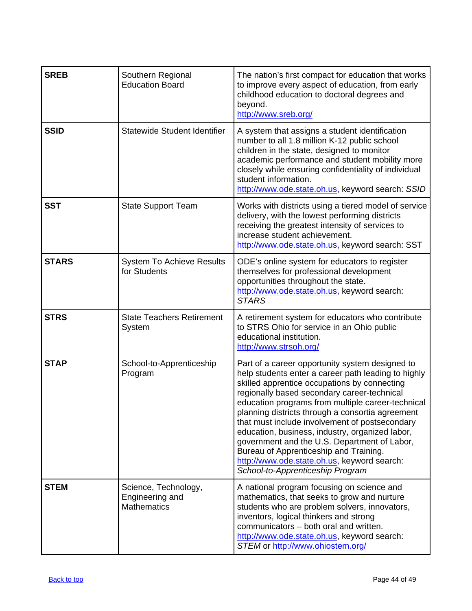| <b>SREB</b>  | Southern Regional<br><b>Education Board</b>                   | The nation's first compact for education that works<br>to improve every aspect of education, from early<br>childhood education to doctoral degrees and<br>beyond.<br>http://www.sreb.org/                                                                                                                                                                                                                                                                                                                                                                                                        |
|--------------|---------------------------------------------------------------|--------------------------------------------------------------------------------------------------------------------------------------------------------------------------------------------------------------------------------------------------------------------------------------------------------------------------------------------------------------------------------------------------------------------------------------------------------------------------------------------------------------------------------------------------------------------------------------------------|
| <b>SSID</b>  | Statewide Student Identifier                                  | A system that assigns a student identification<br>number to all 1.8 million K-12 public school<br>children in the state, designed to monitor<br>academic performance and student mobility more<br>closely while ensuring confidentiality of individual<br>student information.<br>http://www.ode.state.oh.us, keyword search: SSID                                                                                                                                                                                                                                                               |
| <b>SST</b>   | <b>State Support Team</b>                                     | Works with districts using a tiered model of service<br>delivery, with the lowest performing districts<br>receiving the greatest intensity of services to<br>increase student achievement.<br>http://www.ode.state.oh.us, keyword search: SST                                                                                                                                                                                                                                                                                                                                                    |
| <b>STARS</b> | <b>System To Achieve Results</b><br>for Students              | ODE's online system for educators to register<br>themselves for professional development<br>opportunities throughout the state.<br>http://www.ode.state.oh.us, keyword search:<br><b>STARS</b>                                                                                                                                                                                                                                                                                                                                                                                                   |
| <b>STRS</b>  | <b>State Teachers Retirement</b><br>System                    | A retirement system for educators who contribute<br>to STRS Ohio for service in an Ohio public<br>educational institution.<br>http://www.strsoh.org/                                                                                                                                                                                                                                                                                                                                                                                                                                             |
| <b>STAP</b>  | School-to-Apprenticeship<br>Program                           | Part of a career opportunity system designed to<br>help students enter a career path leading to highly<br>skilled apprentice occupations by connecting<br>regionally based secondary career-technical<br>education programs from multiple career-technical<br>planning districts through a consortia agreement<br>that must include involvement of postsecondary<br>education, business, industry, organized labor,<br>government and the U.S. Department of Labor,<br>Bureau of Apprenticeship and Training.<br>http://www.ode.state.oh.us, keyword search:<br>School-to-Apprenticeship Program |
| <b>STEM</b>  | Science, Technology,<br>Engineering and<br><b>Mathematics</b> | A national program focusing on science and<br>mathematics, that seeks to grow and nurture<br>students who are problem solvers, innovators,<br>inventors, logical thinkers and strong<br>communicators - both oral and written.<br>http://www.ode.state.oh.us, keyword search:<br>STEM or http://www.ohiostem.org/                                                                                                                                                                                                                                                                                |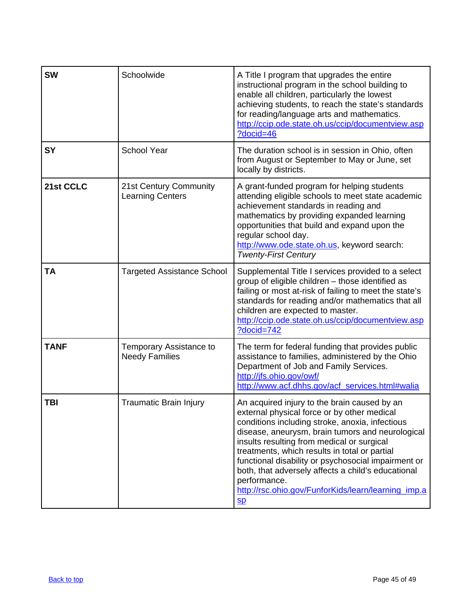<span id="page-44-0"></span>

| <b>SW</b>   | Schoolwide                                        | A Title I program that upgrades the entire<br>instructional program in the school building to<br>enable all children, particularly the lowest<br>achieving students, to reach the state's standards<br>for reading/language arts and mathematics.<br>http://ccip.ode.state.oh.us/ccip/documentview.asp<br>?docid=46                                                                                                                                                                                              |
|-------------|---------------------------------------------------|------------------------------------------------------------------------------------------------------------------------------------------------------------------------------------------------------------------------------------------------------------------------------------------------------------------------------------------------------------------------------------------------------------------------------------------------------------------------------------------------------------------|
| <b>SY</b>   | <b>School Year</b>                                | The duration school is in session in Ohio, often<br>from August or September to May or June, set<br>locally by districts.                                                                                                                                                                                                                                                                                                                                                                                        |
| 21st CCLC   | 21st Century Community<br><b>Learning Centers</b> | A grant-funded program for helping students<br>attending eligible schools to meet state academic<br>achievement standards in reading and<br>mathematics by providing expanded learning<br>opportunities that build and expand upon the<br>regular school day.<br>http://www.ode.state.oh.us, keyword search:<br><b>Twenty-First Century</b>                                                                                                                                                                      |
| <b>TA</b>   | <b>Targeted Assistance School</b>                 | Supplemental Title I services provided to a select<br>group of eligible children - those identified as<br>failing or most at-risk of failing to meet the state's<br>standards for reading and/or mathematics that all<br>children are expected to master.<br>http://ccip.ode.state.oh.us/ccip/documentview.asp<br>?docid=742                                                                                                                                                                                     |
| <b>TANF</b> | Temporary Assistance to<br><b>Needy Families</b>  | The term for federal funding that provides public<br>assistance to families, administered by the Ohio<br>Department of Job and Family Services.<br>http://jfs.ohio.gov/owf/<br>http://www.acf.dhhs.gov/acf_services.html#walia                                                                                                                                                                                                                                                                                   |
| TBI         | <b>Traumatic Brain Injury</b>                     | An acquired injury to the brain caused by an<br>external physical force or by other medical<br>conditions including stroke, anoxia, infectious<br>disease, aneurysm, brain tumors and neurological<br>insults resulting from medical or surgical<br>treatments, which results in total or partial<br>functional disability or psychosocial impairment or<br>both, that adversely affects a child's educational<br>performance.<br>http://rsc.ohio.gov/FunforKids/learn/learning imp.a<br>$\mathbf{S} \mathbf{D}$ |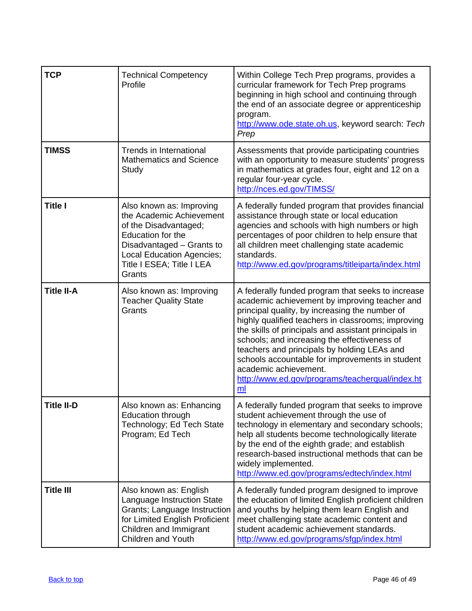| <b>TCP</b>        | <b>Technical Competency</b><br>Profile                                                                                                                                                                     | Within College Tech Prep programs, provides a<br>curricular framework for Tech Prep programs<br>beginning in high school and continuing through<br>the end of an associate degree or apprenticeship<br>program.<br>http://www.ode.state.oh.us, keyword search: Tech<br>Prep                                                                                                                                                                                                                            |
|-------------------|------------------------------------------------------------------------------------------------------------------------------------------------------------------------------------------------------------|--------------------------------------------------------------------------------------------------------------------------------------------------------------------------------------------------------------------------------------------------------------------------------------------------------------------------------------------------------------------------------------------------------------------------------------------------------------------------------------------------------|
| <b>TIMSS</b>      | Trends in International<br><b>Mathematics and Science</b><br>Study                                                                                                                                         | Assessments that provide participating countries<br>with an opportunity to measure students' progress<br>in mathematics at grades four, eight and 12 on a<br>regular four-year cycle.<br>http://nces.ed.gov/TIMSS/                                                                                                                                                                                                                                                                                     |
| <b>Title I</b>    | Also known as: Improving<br>the Academic Achievement<br>of the Disadvantaged;<br><b>Education for the</b><br>Disadvantaged - Grants to<br>Local Education Agencies;<br>Title I ESEA; Title I LEA<br>Grants | A federally funded program that provides financial<br>assistance through state or local education<br>agencies and schools with high numbers or high<br>percentages of poor children to help ensure that<br>all children meet challenging state academic<br>standards.<br>http://www.ed.gov/programs/titleiparta/index.html                                                                                                                                                                             |
| <b>Title II-A</b> | Also known as: Improving<br><b>Teacher Quality State</b><br>Grants                                                                                                                                         | A federally funded program that seeks to increase<br>academic achievement by improving teacher and<br>principal quality, by increasing the number of<br>highly qualified teachers in classrooms; improving<br>the skills of principals and assistant principals in<br>schools; and increasing the effectiveness of<br>teachers and principals by holding LEAs and<br>schools accountable for improvements in student<br>academic achievement.<br>http://www.ed.gov/programs/teacherqual/index.ht<br>ml |
| <b>Title II-D</b> | Also known as: Enhancing<br><b>Education through</b><br>Technology; Ed Tech State<br>Program; Ed Tech                                                                                                      | A federally funded program that seeks to improve<br>student achievement through the use of<br>technology in elementary and secondary schools;<br>help all students become technologically literate<br>by the end of the eighth grade; and establish<br>research-based instructional methods that can be<br>widely implemented.<br>http://www.ed.gov/programs/edtech/index.html                                                                                                                         |
| <b>Title III</b>  | Also known as: English<br>Language Instruction State<br>Grants; Language Instruction<br>for Limited English Proficient<br>Children and Immigrant<br><b>Children and Youth</b>                              | A federally funded program designed to improve<br>the education of limited English proficient children<br>and youths by helping them learn English and<br>meet challenging state academic content and<br>student academic achievement standards.<br>http://www.ed.gov/programs/sfgp/index.html                                                                                                                                                                                                         |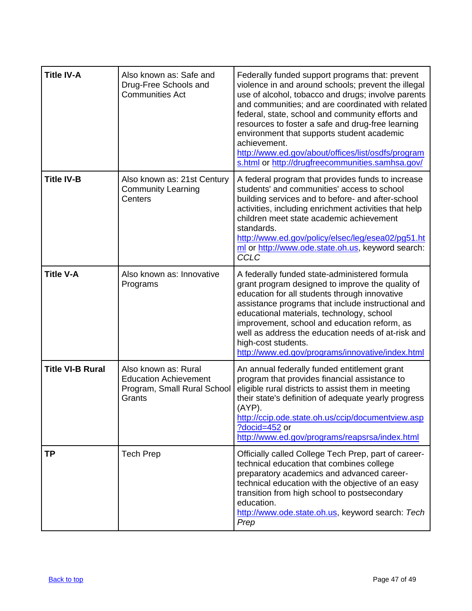| <b>Title IV-A</b>       | Also known as: Safe and<br>Drug-Free Schools and<br><b>Communities Act</b>                    | Federally funded support programs that: prevent<br>violence in and around schools; prevent the illegal<br>use of alcohol, tobacco and drugs; involve parents<br>and communities; and are coordinated with related<br>federal, state, school and community efforts and<br>resources to foster a safe and drug-free learning<br>environment that supports student academic<br>achievement.<br>http://www.ed.gov/about/offices/list/osdfs/program<br>s.html or http://drugfreecommunities.samhsa.gov/ |
|-------------------------|-----------------------------------------------------------------------------------------------|----------------------------------------------------------------------------------------------------------------------------------------------------------------------------------------------------------------------------------------------------------------------------------------------------------------------------------------------------------------------------------------------------------------------------------------------------------------------------------------------------|
| <b>Title IV-B</b>       | Also known as: 21st Century<br><b>Community Learning</b><br>Centers                           | A federal program that provides funds to increase<br>students' and communities' access to school<br>building services and to before- and after-school<br>activities, including enrichment activities that help<br>children meet state academic achievement<br>standards.<br>http://www.ed.gov/policy/elsec/leg/esea02/pg51.ht<br>ml or http://www.ode.state.oh.us, keyword search:<br><b>CCLC</b>                                                                                                  |
| <b>Title V-A</b>        | Also known as: Innovative<br>Programs                                                         | A federally funded state-administered formula<br>grant program designed to improve the quality of<br>education for all students through innovative<br>assistance programs that include instructional and<br>educational materials, technology, school<br>improvement, school and education reform, as<br>well as address the education needs of at-risk and<br>high-cost students.<br>http://www.ed.gov/programs/innovative/index.html                                                             |
| <b>Title VI-B Rural</b> | Also known as: Rural<br><b>Education Achievement</b><br>Program, Small Rural School<br>Grants | An annual federally funded entitlement grant<br>program that provides financial assistance to<br>eligible rural districts to assist them in meeting<br>their state's definition of adequate yearly progress<br>(AYP).<br>http://ccip.ode.state.oh.us/ccip/documentview.asp<br>?docid=452 or<br>http://www.ed.gov/programs/reapsrsa/index.html                                                                                                                                                      |
| ΤP                      | <b>Tech Prep</b>                                                                              | Officially called College Tech Prep, part of career-<br>technical education that combines college<br>preparatory academics and advanced career-<br>technical education with the objective of an easy<br>transition from high school to postsecondary<br>education.<br>http://www.ode.state.oh.us, keyword search: Tech<br>Prep                                                                                                                                                                     |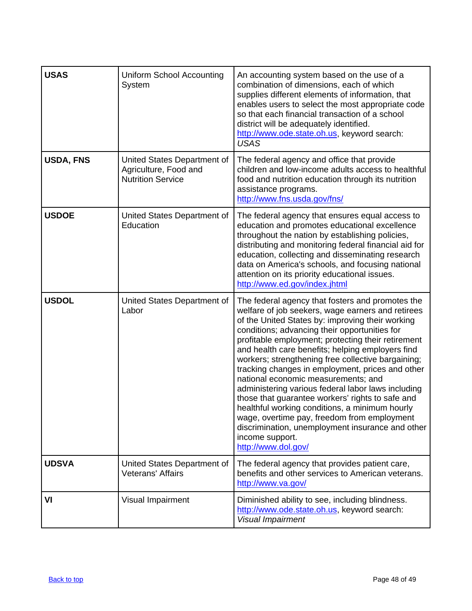<span id="page-47-0"></span>

| <b>USAS</b>  | <b>Uniform School Accounting</b><br>System                                       | An accounting system based on the use of a<br>combination of dimensions, each of which<br>supplies different elements of information, that<br>enables users to select the most appropriate code<br>so that each financial transaction of a school<br>district will be adequately identified.<br>http://www.ode.state.oh.us, keyword search:<br><b>USAS</b>                                                                                                                                                                                                                                                                                                                                                                                                                     |
|--------------|----------------------------------------------------------------------------------|--------------------------------------------------------------------------------------------------------------------------------------------------------------------------------------------------------------------------------------------------------------------------------------------------------------------------------------------------------------------------------------------------------------------------------------------------------------------------------------------------------------------------------------------------------------------------------------------------------------------------------------------------------------------------------------------------------------------------------------------------------------------------------|
| USDA, FNS    | United States Department of<br>Agriculture, Food and<br><b>Nutrition Service</b> | The federal agency and office that provide<br>children and low-income adults access to healthful<br>food and nutrition education through its nutrition<br>assistance programs.<br>http://www.fns.usda.gov/fns/                                                                                                                                                                                                                                                                                                                                                                                                                                                                                                                                                                 |
| <b>USDOE</b> | United States Department of<br>Education                                         | The federal agency that ensures equal access to<br>education and promotes educational excellence<br>throughout the nation by establishing policies,<br>distributing and monitoring federal financial aid for<br>education, collecting and disseminating research<br>data on America's schools, and focusing national<br>attention on its priority educational issues.<br>http://www.ed.gov/index.jhtml                                                                                                                                                                                                                                                                                                                                                                         |
| <b>USDOL</b> | United States Department of<br>Labor                                             | The federal agency that fosters and promotes the<br>welfare of job seekers, wage earners and retirees<br>of the United States by: improving their working<br>conditions; advancing their opportunities for<br>profitable employment; protecting their retirement<br>and health care benefits; helping employers find<br>workers; strengthening free collective bargaining;<br>tracking changes in employment, prices and other<br>national economic measurements; and<br>administering various federal labor laws including<br>those that guarantee workers' rights to safe and<br>healthful working conditions, a minimum hourly<br>wage, overtime pay, freedom from employment<br>discrimination, unemployment insurance and other<br>income support.<br>http://www.dol.gov/ |
| <b>UDSVA</b> | United States Department of<br><b>Veterans' Affairs</b>                          | The federal agency that provides patient care,<br>benefits and other services to American veterans.<br>http://www.va.gov/                                                                                                                                                                                                                                                                                                                                                                                                                                                                                                                                                                                                                                                      |
| VI           | Visual Impairment                                                                | Diminished ability to see, including blindness.<br>http://www.ode.state.oh.us, keyword search:<br>Visual Impairment                                                                                                                                                                                                                                                                                                                                                                                                                                                                                                                                                                                                                                                            |